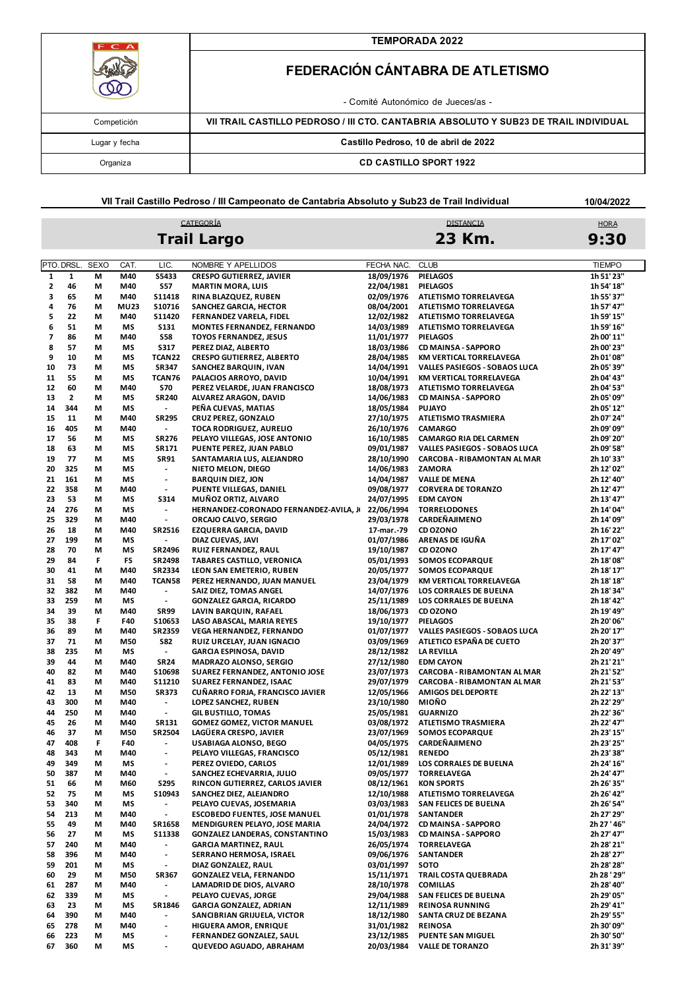| FCA           | <b>TEMPORADA 2022</b>                                                                |  |  |  |  |
|---------------|--------------------------------------------------------------------------------------|--|--|--|--|
|               | FEDERACIÓN CÁNTABRA DE ATLETISMO                                                     |  |  |  |  |
|               | - Comité Autonómico de Jueces/as -                                                   |  |  |  |  |
| Competición   | VII TRAIL CASTILLO PEDROSO / III CTO. CANTABRIA ABSOLUTO Y SUB23 DE TRAIL INDIVIDUAL |  |  |  |  |
| Lugar y fecha | Castillo Pedroso, 10 de abril de 2022                                                |  |  |  |  |
| Organiza      | <b>CD CASTILLO SPORT 1922</b>                                                        |  |  |  |  |

**VII Trail Castillo Pedroso / III Campeonato de Cantabria Absoluto y Sub23 de Trail Individual**

CATEGORÍA

**10/04/2022**

# DISTANCIA **Trail Largo 23 Km.**

| HORA |  |
|------|--|
| 9:30 |  |

|              | PTO. DRSL.   | <b>SEXO</b> | CAT.        | LIC.                                                 | NOMBRE Y APELLIDOS                     | FECHA NAC. | <b>CLUB</b>                   | <b>TIEMPO</b> |
|--------------|--------------|-------------|-------------|------------------------------------------------------|----------------------------------------|------------|-------------------------------|---------------|
| $\mathbf{1}$ | $\mathbf{1}$ | M           | M40         | S5433                                                | <b>CRESPO GUTIERREZ, JAVIER</b>        | 18/09/1976 | <b>PIELAGOS</b>               | 1h 51' 23"    |
| 2            | 46           | М           | M40         | <b>S57</b>                                           | <b>MARTIN MORA, LUIS</b>               | 22/04/1981 | <b>PIELAGOS</b>               | 1h 54' 18"    |
| 3            | 65           | М           | M40         | <b>S11418</b>                                        | RINA BLAZQUEZ, RUBEN                   | 02/09/1976 | ATLETISMO TORRELAVEGA         | 1h 55' 37"    |
| 4            | 76           | M           | <b>MU23</b> | S10716                                               | SANCHEZ GARCIA, HECTOR                 | 08/04/2001 | ATLETISMO TORRELAVEGA         | 1h 57' 47"    |
| 5            | 22           | M           | M40         | S11420                                               | FERNANDEZ VARELA, FIDEL                | 12/02/1982 | ATLETISMO TORRELAVEGA         | 1h 59' 15"    |
| 6            | 51           | М           | МS          | <b>S131</b>                                          | MONTES FERNANDEZ, FERNANDO             | 14/03/1989 | ATLETISMO TORRELAVEGA         | 1h 59' 16"    |
|              |              |             |             |                                                      |                                        |            |                               |               |
| 7            | 86           | М           | M40         | <b>S58</b>                                           | <b>TOYOS FERNANDEZ, JESUS</b>          | 11/01/1977 | <b>PIELAGOS</b>               | 2h 00' 11"    |
| 8            | 57           | М           | МS          | <b>S317</b>                                          | PEREZ DIAZ, ALBERTO                    | 18/03/1986 | CD MAINSA - SAPPORO           | 2h 00' 23"    |
| 9            | 10           | М           | МS          | TCAN22                                               | <b>CRESPO GUTIERREZ, ALBERTO</b>       | 28/04/1985 | KM VERTICAL TORRELAVEGA       | 2h 01' 08"    |
| 10           | 73           | М           | МS          | <b>SR347</b>                                         | SANCHEZ BARQUIN, IVAN                  | 14/04/1991 | VALLES PASIEGOS - SOBAOS LUCA | 2h 05' 39"    |
| 11           | 55           | М           | МS          | TCAN76                                               | PALACIOS ARROYO, DAVID                 | 10/04/1991 | KM VERTICAL TORRELAVEGA       | 2h 04' 43"    |
| 12           | 60           | М           | M40         | <b>S70</b>                                           | PEREZ VELARDE, JUAN FRANCISCO          | 18/08/1973 | ATLETISMO TORRELAVEGA         | 2h 04' 53"    |
| 13           | $\mathbf{z}$ | М           | МS          | <b>SR240</b>                                         | ALVAREZ ARAGON, DAVID                  | 14/06/1983 | <b>CD MAINSA - SAPPORO</b>    | 2h 05' 09"    |
| 14           | 344          | М           | МS          | $\overline{\phantom{a}}$                             | PEÑA CUEVAS, MATIAS                    | 18/05/1984 | <b>PUJAYO</b>                 | 2h 05' 12"    |
| 15           | 11           | М           | M40         | <b>SR295</b>                                         | CRUZ PEREZ, GONZALO                    | 27/10/1975 | <b>ATLETISMO TRASMIERA</b>    | 2h 07' 24"    |
| 16           | 405          | М           | M40         | $\blacksquare$                                       | TOCA RODRIGUEZ, AURELIO                | 26/10/1976 | <b>CAMARGO</b>                | 2h 09' 09"    |
| 17           | 56           | М           | МS          | <b>SR276</b>                                         | PELAYO VILLEGAS, JOSE ANTONIO          | 16/10/1985 | <b>CAMARGO RIA DEL CARMEN</b> | 2h 09' 20"    |
| 18           | 63           | М           | ΜS          | SR171                                                | PUENTE PEREZ, JUAN PABLO               | 09/01/1987 | VALLES PASIEGOS - SOBAOS LUCA | 2h 09' 58"    |
| 19           | 77           | М           | ΜS          | <b>SR91</b>                                          | SANTAMARIA LUS, ALEJANDRO              | 28/10/1990 | CARCOBA - RIBAMONTAN AL MAR   | 2h 10' 33"    |
| 20           | 325          | М           | ΜS          | $\overline{\phantom{a}}$                             |                                        | 14/06/1983 | ZAMORA                        |               |
|              |              |             |             |                                                      | NIETO MELON, DIEGO                     |            |                               | 2h 12' 02"    |
| 21           | 161          | М           | ΜS          | $\overline{\phantom{a}}$                             | <b>BARQUIN DIEZ, JON</b>               | 14/04/1987 | <b>VALLE DE MENA</b>          | 2h 12' 40"    |
| 22           | 358          | М           | M40         | $\overline{\phantom{a}}$                             | PUENTE VILLEGAS, DANIEL                | 09/08/1977 | <b>CORVERA DE TORANZO</b>     | 2h 12' 47"    |
| 23           | 53           | М           | МS          | <b>S314</b>                                          | MUÑOZ ORTIZ, ALVARO                    | 24/07/1995 | <b>EDM CAYON</b>              | 2h 13' 47"    |
| 24           | 276          | М           | МS          | $\blacksquare$                                       | HERNANDEZ-CORONADO FERNANDEZ-AVILA, JI | 22/06/1994 | <b>TORRELODONES</b>           | 2h 14' 04"    |
| 25           | 329          | М           | M40         | $\blacksquare$                                       | ORCAJO CALVO, SERGIO                   | 29/03/1978 | <b>CARDEÑAJIMENO</b>          | 2h 14' 09"    |
| 26           | 18           | М           | M40         | SR2516                                               | EZQUERRA GARCIA, DAVID                 | 17-mar.-79 | CD OZONO                      | 2h 16' 22"    |
| 27           | 199          | М           | МS          | $\overline{\phantom{a}}$                             | DIAZ CUEVAS, JAVI                      | 01/07/1986 | ARENAS DE IGUÑA               | 2h 17' 02"    |
| 28           | 70           | М           | МS          | SR2496                                               | RUIZ FERNANDEZ, RAUL                   | 19/10/1987 | CD OZONO                      | 2h 17' 47"    |
| 29           | 84           | F           | FS          | <b>SR2498</b>                                        | TABARES CASTILLO, VERONICA             | 05/01/1993 | <b>SOMOS ECOPARQUE</b>        | 2h 18' 08"    |
| 30           | 41           | М           | M40         | SR2334                                               | LEON SAN EMETERIO, RUBEN               | 20/05/1977 | <b>SOMOS ECOPARQUE</b>        | 2h 18' 17"    |
| 31           | 58           | М           | M40         | TCAN58                                               | PEREZ HERNANDO, JUAN MANUEL            | 23/04/1979 | KM VERTICAL TORRELAVEGA       | 2h 18' 18"    |
| 32           | 382          | М           | M40         | $\overline{\phantom{a}}$                             | SAIZ DIEZ, TOMAS ANGEL                 | 14/07/1976 | LOS CORRALES DE BUELNA        | 2h 18' 34"    |
| 33           | 259          | М           |             | $\overline{\phantom{a}}$                             | <b>GONZALEZ GARCIA, RICARDO</b>        |            |                               | 2h 18' 42"    |
|              |              |             | МS          |                                                      |                                        | 25/11/1989 | LOS CORRALES DE BUELNA        |               |
| 34           | 39           | М           | M40         | <b>SR99</b>                                          | LAVIN BARQUIN, RAFAEL                  | 18/06/1973 | CD OZONO                      | 2h 19' 49"    |
| 35           | 38           | F           | F40         | S10653                                               | LASO ABASCAL, MARIA REYES              | 19/10/1977 | <b>PIELAGOS</b>               | 2h 20' 06"    |
| 36           | 89           | М           | M40         | SR2359                                               | VEGA HERNANDEZ, FERNANDO               | 01/07/1977 | VALLES PASIEGOS - SOBAOS LUCA | 2h 20' 17"    |
| 37           | 71           | M           | M50         | <b>S82</b>                                           | RUIZ URCELAY, JUAN IGNACIO             | 03/09/1969 | ATLETICO ESPAÑA DE CUETO      | 2h 20' 37"    |
| 38           | 235          | M           | МS          | $\overline{\phantom{a}}$                             | <b>GARCIA ESPINOSA, DAVID</b>          | 28/12/1982 | <b>LA REVILLA</b>             | 2h 20' 49"    |
| 39           | 44           | М           | M40         | <b>SR24</b>                                          | <b>MADRAZO ALONSO, SERGIO</b>          | 27/12/1980 | <b>EDM CAYON</b>              | 2h 21' 21"    |
| 40           | 82           | М           | M40         | \$10698                                              | SUAREZ FERNANDEZ, ANTONIO JOSE         | 23/07/1973 | CARCOBA - RIBAMONTAN AL MAR   | 2h 21' 52"    |
| 41           | 83           | М           | M40         | S11210                                               | <b>SUAREZ FERNANDEZ, ISAAC</b>         | 29/07/1979 | CARCOBA - RIBAMONTAN AL MAR   | 2h 21' 53"    |
| 42           | 13           | М           | M50         | <b>SR373</b>                                         | CUÑARRO FORJA, FRANCISCO JAVIER        | 12/05/1966 | <b>AMIGOS DEL DEPORTE</b>     | 2h 22' 13"    |
| 43           | 300          | М           | M40         | $\overline{\phantom{a}}$                             | LOPEZ SANCHEZ, RUBEN                   | 23/10/1980 | MIOÑO                         | 2h 22' 29"    |
| 44           | 250          | М           | M40         | $\overline{\phantom{a}}$                             | <b>GIL BUSTILLO, TOMAS</b>             | 25/05/1981 | <b>GUARNIZO</b>               | 2h 22' 36"    |
| 45           | 26           | М           | M40         | SR131                                                | <b>GOMEZ GOMEZ, VICTOR MANUEL</b>      | 03/08/1972 | ATLETISMO TRASMIERA           | 2h 22' 47"    |
| 46           | 37           | М           | M50         | SR2504                                               | LAGÜERA CRESPO, JAVIER                 | 23/07/1969 | <b>SOMOS ECOPARQUE</b>        | 2h 23' 15"    |
|              | 408          | F           |             |                                                      |                                        |            | CARDEÑAJIMENO                 |               |
| 47           | 343          |             | F40         | $\overline{\phantom{a}}$<br>$\overline{\phantom{a}}$ | USABIAGA ALONSO, BEGO                  | 04/05/1975 | <b>RENEDO</b>                 | 2h 23' 25"    |
| 48           |              | М           | M40         |                                                      | PELAYO VILLEGAS, FRANCISCO             | 05/12/1981 |                               | 2h 23' 38"    |
| 49           | 349          | М           | МS          | $\overline{\phantom{a}}$                             | PEREZ OVIEDO, CARLOS                   | 12/01/1989 | LOS CORRALES DE BUELNA        | 2h 24' 16"    |
| 50           | 387          | М           | M40         | $\overline{\phantom{a}}$                             | SANCHEZ ECHEVARRIA, JULIO              | 09/05/1977 | <b>TORRELAVEGA</b>            | 2h 24' 47"    |
| 51           | 66           | M           | M60         | <b>S295</b>                                          | RINCON GUTIERREZ, CARLOS JAVIER        | 08/12/1961 | <b>KON SPORTS</b>             | 2h 26' 35"    |
| 52           | 75           | М           | ΜS          | \$10943                                              | SANCHEZ DIEZ, ALEJANDRO                | 12/10/1988 | ATLETISMO TORRELAVEGA         | 2h 26' 42"    |
| 53           | 340          | М           | ΜS          | $\blacksquare$                                       | PELAYO CUEVAS, JOSEMARIA               | 03/03/1983 | SAN FELICES DE BUELNA         | 2h 26' 54"    |
| 54           | 213          | М           | M40         | $\overline{\phantom{a}}$                             | <b>ESCOBEDO FUENTES, JOSE MANUEL</b>   | 01/01/1978 | <b>SANTANDER</b>              | 2h 27' 29"    |
| 55           | 49           | М           | M40         | SR1658                                               | MENDIGUREN PELAYO, JOSE MARIA          | 24/04/1972 | CD MAINSA - SAPPORO           | 2h 27 ' 46"   |
| 56           | 27           | М           | ΜS          | \$11338                                              | <b>GONZALEZ LANDERAS, CONSTANTINO</b>  | 15/03/1983 | CD MAINSA - SAPPORO           | 2h 27' 47"    |
| 57           | 240          | М           | M40         | $\blacksquare$                                       | <b>GARCIA MARTINEZ, RAUL</b>           |            | 26/05/1974 TORRELAVEGA        | 2h 28' 21"    |
| 58           | 396          | М           | M40         | $\overline{\phantom{a}}$                             | SERRANO HERMOSA, ISRAEL                | 09/06/1976 | SANTANDER                     | 2h 28' 27"    |
| 59           | 201          | М           | МS          | $\overline{\phantom{a}}$                             | DIAZ GONZALEZ, RAUL                    | 03/01/1997 | <b>SOTO</b>                   | 2h 28' 28"    |
| 60           | 29           | М           | M50         | SR367                                                | <b>GONZALEZ VELA, FERNANDO</b>         | 15/11/1971 | TRAIL COSTA QUEBRADA          | 2h 28 ' 29"   |
|              |              |             |             |                                                      |                                        |            |                               |               |
| 61           | 287          | М           | M40         | $\blacksquare$                                       | LAMADRID DE DIOS, ALVARO               | 28/10/1978 | <b>COMILLAS</b>               | 2h 28' 40"    |
| 62           | 339          | М           | ΜS          | $\overline{\phantom{a}}$                             | PELAYO CUEVAS, JORGE                   | 29/04/1988 | SAN FELICES DE BUELNA         | 2h 29' 05"    |
| 63           | 23           | М           | ΜS          | SR1846                                               | <b>GARCIA GONZALEZ, ADRIAN</b>         | 12/11/1989 | <b>REINOSA RUNNING</b>        | 2h 29' 41"    |
| 64           | 390          | М           | M40         | $\overline{\phantom{a}}$                             | SANCIBRIAN GRIJUELA, VICTOR            | 18/12/1980 | SANTA CRUZ DE BEZANA          | 2h 29' 55"    |
| 65           | 278          | М           | M40         | $\blacksquare$                                       | HIGUERA AMOR, ENRIQUE                  | 31/01/1982 | <b>REINOSA</b>                | 2h 30' 09"    |
| 66           | 223          | М           | ΜS          | $\overline{a}$                                       | FERNANDEZ GONZALEZ, SAUL               | 23/12/1985 | PUENTE SAN MIGUEL             | 2h 30' 50"    |
| 67           | 360          | М           | ΜS          | $\overline{a}$                                       | QUEVEDO AGUADO, ABRAHAM                | 20/03/1984 | <b>VALLE DE TORANZO</b>       | 2h 31' 39"    |
|              |              |             |             |                                                      |                                        |            |                               |               |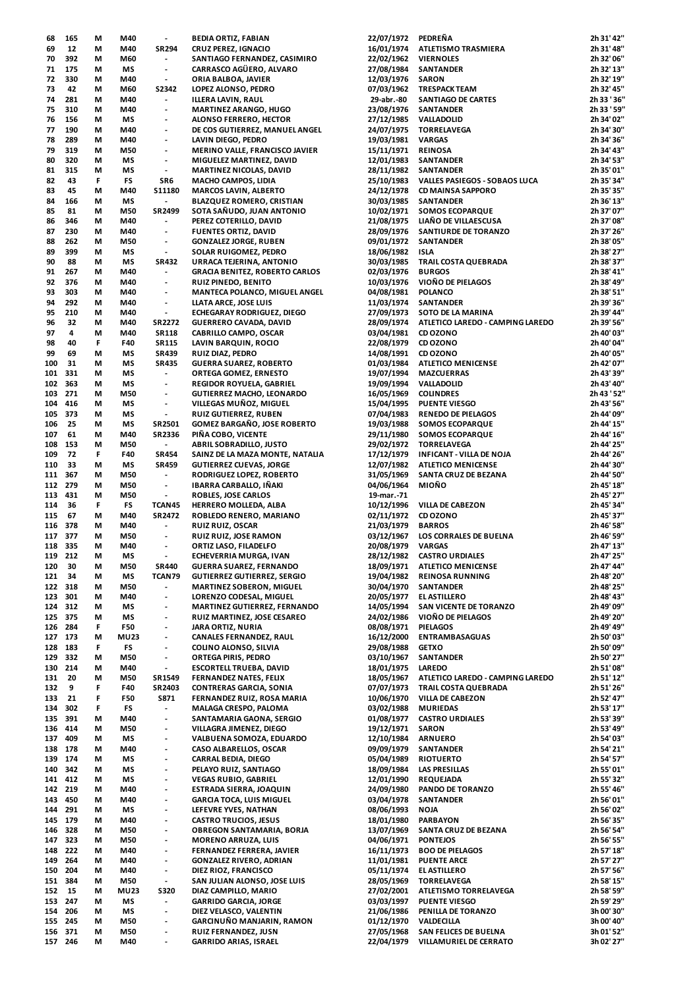| 68  | 165     | М | M40         | $\overline{\phantom{a}}$ | <b>BEDIA ORTIZ, FABIAN</b>            | 22/07/1972 | PEDRENA                          | 2h 31' 42"  |
|-----|---------|---|-------------|--------------------------|---------------------------------------|------------|----------------------------------|-------------|
| 69  | 12      | М | M40         | <b>SR294</b>             | <b>CRUZ PEREZ, IGNACIO</b>            | 16/01/1974 | ATLETISMO TRASMIERA              | 2h 31' 48"  |
| 70  | 392     | М | M60         | $\overline{\phantom{a}}$ | SANTIAGO FERNANDEZ, CASIMIRO          | 22/02/1962 | <b>VIERNOLES</b>                 | 2h 32' 06"  |
|     |         |   |             |                          |                                       |            |                                  |             |
| 71  | 175     | М | ΜS          | $\overline{\phantom{a}}$ | CARRASCO AGÜERO, ALVARO               | 27/08/1984 | <b>SANTANDER</b>                 | 2h 32' 13"  |
| 72  | 330     | М | M40         | $\overline{\phantom{a}}$ | ORIA BALBOA, JAVIER                   | 12/03/1976 | <b>SARON</b>                     | 2h 32' 19"  |
| 73  | 42      | М | M60         | <b>S2342</b>             | LOPEZ ALONSO, PEDRO                   | 07/03/1962 | <b>TRESPACK TEAM</b>             | 2h 32' 45"  |
| 74  | 281     | М | M40         | $\overline{\phantom{a}}$ | ILLERA LAVIN, RAUL                    | 29-abr.-80 | SANTIAGO DE CARTES               | 2h 33 ' 36" |
| 75  | 310     | М | M40         | $\overline{\phantom{a}}$ | <b>MARTINEZ ARANGO, HUGO</b>          | 23/08/1976 | <b>SANTANDER</b>                 | 2h 33 ' 59" |
|     |         |   |             |                          |                                       |            |                                  |             |
| 76  | 156     | М | ΜS          | $\overline{\phantom{a}}$ | <b>ALONSO FERRERO, HECTOR</b>         | 27/12/1985 | VALLADOLID                       | 2h 34' 02"  |
| 77  | 190     | М | M40         | $\overline{\phantom{a}}$ | DE COS GUTIERREZ, MANUEL ANGEL        | 24/07/1975 | <b>TORRELAVEGA</b>               | 2h 34' 30"  |
| 78  | 289     | М | M40         | $\overline{\phantom{a}}$ | LAVIN DIEGO, PEDRO                    | 19/03/1981 | <b>VARGAS</b>                    | 2h 34' 36"  |
| 79  | 319     | М | M50         | $\overline{\phantom{a}}$ |                                       | 15/11/1971 | <b>REINOSA</b>                   | 2h 34' 43"  |
|     |         |   |             |                          | <b>MERINO VALLE, FRANCISCO JAVIER</b> |            |                                  |             |
| 80  | 320     | М | ΜS          | $\overline{\phantom{a}}$ | MIGUELEZ MARTINEZ, DAVID              | 12/01/1983 | <b>SANTANDER</b>                 | 2h 34' 53"  |
| 81  | 315     | М | ΜS          | $\overline{\phantom{a}}$ | MARTINEZ NICOLAS, DAVID               | 28/11/1982 | <b>SANTANDER</b>                 | 2h 35' 01"  |
| 82  | 43      | F | FS          | SR6                      | <b>MACHO CAMPOS, LIDIA</b>            | 25/10/1983 | VALLES PASIEGOS - SOBAOS LUCA    | 2h 35' 34"  |
| 83  | 45      | М | M40         | S11180                   | <b>MARCOS LAVIN, ALBERTO</b>          | 24/12/1978 | <b>CD MAINSA SAPPORO</b>         | 2h 35' 35"  |
|     |         |   |             |                          |                                       |            |                                  |             |
| 84  | 166     | М | MS          | $\overline{\phantom{a}}$ | <b>BLAZQUEZ ROMERO, CRISTIAN</b>      | 30/03/1985 | SANTANDER                        | 2h 36' 13"  |
| 85  | 81      | М | M50         | SR2499                   | SOTA SAÑUDO, JUAN ANTONIO             | 10/02/1971 | <b>SOMOS ECOPARQUE</b>           | 2h 37' 07"  |
| 86  | 346     | М | M40         | $\overline{\phantom{a}}$ | PEREZ COTERILLO, DAVID                | 21/08/1975 | LIAÑO DE VILLAESCUSA             | 2h 37' 08"  |
| 87  | 230     | М | M40         | $\overline{\phantom{a}}$ | FUENTES ORTIZ, DAVID                  | 28/09/1976 | SANTIURDE DE TORANZO             | 2h 37' 26"  |
| 88  | 262     | М | M50         | $\overline{\phantom{a}}$ | <b>GONZALEZ JORGE, RUBEN</b>          | 09/01/1972 | <b>SANTANDER</b>                 | 2h 38' 05"  |
|     |         |   |             |                          |                                       |            |                                  |             |
| 89  | 399     | М | ΜS          | $\overline{\phantom{a}}$ | SOLAR RUIGOMEZ, PEDRO                 | 18/06/1982 | <b>ISLA</b>                      | 2h 38' 27"  |
| 90  | 88      | М | ΜS          | <b>SR432</b>             | URRACA TEJERINA, ANTONIO              | 30/03/1985 | TRAIL COSTA QUEBRADA             | 2h 38' 37"  |
| 91  | 267     | М | M40         | $\overline{\phantom{a}}$ | <b>GRACIA BENITEZ, ROBERTO CARLOS</b> | 02/03/1976 | <b>BURGOS</b>                    | 2h 38' 41"  |
| 92  | 376     | М | M40         | $\overline{\phantom{a}}$ | <b>RUIZ PINEDO, BENITO</b>            | 10/03/1976 | VIOÑO DE PIELAGOS                | 2h 38' 49"  |
|     |         |   |             |                          |                                       |            |                                  | 2h 38' 51"  |
| 93  | 303     | М | M40         | $\overline{\phantom{a}}$ | MANTECA POLANCO, MIGUEL ANGEL         | 04/08/1981 | POLANCO                          |             |
| 94  | 292     | М | M40         | $\overline{\phantom{a}}$ | LLATA ARCE, JOSE LUIS                 | 11/03/1974 | <b>SANTANDER</b>                 | 2h 39' 36"  |
| 95  | 210     | М | M40         | $\overline{\phantom{a}}$ | <b>ECHEGARAY RODRIGUEZ, DIEGO</b>     | 27/09/1973 | SOTO DE LA MARINA                | 2h 39' 44"  |
| 96  | 32      | М | M40         | <b>SR2272</b>            | <b>GUERRERO CAVADA, DAVID</b>         | 28/09/1974 | ATLETICO LAREDO - CAMPING LAREDO | 2h 39' 56"  |
|     |         |   |             |                          |                                       |            |                                  |             |
| 97  | 4       | М | M40         | <b>SR118</b>             | <b>CABRILLO CAMPO, OSCAR</b>          | 03/04/1981 | CD OZONO                         | 2h 40' 03"  |
| 98  | 40      | F | F40         | <b>SR115</b>             | LAVIN BARQUIN, ROCIO                  | 22/08/1979 | CD OZONO                         | 2h 40' 04"  |
| 99  | 69      | M | ΜS          | <b>SR439</b>             | RUIZ DIAZ, PEDRO                      | 14/08/1991 | <b>CD OZONO</b>                  | 2h 40' 05"  |
|     | 31      |   |             | <b>SR435</b>             |                                       | 01/03/1984 |                                  | 2h 42' 07"  |
| 100 |         | М | ΜS          |                          | <b>GUERRA SUAREZ, ROBERTO</b>         |            | <b>ATLETICO MENICENSE</b>        |             |
| 101 | 331     | М | ΜS          | $\blacksquare$           | ORTEGA GOMEZ, ERNESTO                 | 19/07/1994 | <b>MAZCUERRAS</b>                | 2h 43' 39"  |
| 102 | 363     | М | МS          | $\overline{\phantom{a}}$ | REGIDOR ROYUELA, GABRIEL              | 19/09/1994 | VALLADOLID                       | 2h 43' 40"  |
| 103 | 271     | М | M50         | $\overline{\phantom{a}}$ | <b>GUTIERREZ MACHO, LEONARDO</b>      | 16/05/1969 | <b>COLINDRES</b>                 | 2h 43 ' 52" |
|     | 416     |   |             |                          | VILLEGAS MUÑOZ, MIGUEL                |            |                                  | 2h 43' 56"  |
| 104 |         | М | ΜS          | $\overline{\phantom{a}}$ |                                       | 15/04/1995 | <b>PUENTE VIESGO</b>             |             |
| 105 | 373     | М | МS          | $\overline{\phantom{a}}$ | <b>RUIZ GUTIERREZ, RUBEN</b>          | 07/04/1983 | <b>RENEDO DE PIELAGOS</b>        | 2h 44' 09"  |
| 106 | 25      | М | ΜS          | SR2501                   | <b>GOMEZ BARGAÑO, JOSE ROBERTO</b>    | 19/03/1988 | <b>SOMOS ECOPARQUE</b>           | 2h 44' 15"  |
| 107 | 61      | М | M40         | SR2336                   | PIÑA COBO, VICENTE                    | 29/11/1980 | <b>SOMOS ECOPARQUE</b>           | 2h 44' 16"  |
| 108 | 153     | М | M50         | $\blacksquare$           | <b>ABRIL SOBRADILLO, JUSTO</b>        | 29/02/1972 | <b>TORRELAVEGA</b>               | 2h 44' 25"  |
|     |         |   |             |                          |                                       |            |                                  |             |
| 109 | 72      | F | F40         | <b>SR454</b>             | SAINZ DE LA MAZA MONTE, NATALIA       | 17/12/1979 | <b>INFICANT - VILLA DE NOJA</b>  | 2h 44' 26"  |
| 110 | 33      | М | ΜS          | <b>SR459</b>             | <b>GUTIERREZ CUEVAS, JORGE</b>        | 12/07/1982 | <b>ATLETICO MENICENSE</b>        | 2h 44' 30"  |
| 111 | 367     | М | M50         | $\overline{\phantom{a}}$ | RODRIGUEZ LOPEZ, ROBERTO              | 31/05/1969 | SANTA CRUZ DE BEZANA             | 2h 44' 50"  |
|     | 279     |   |             |                          |                                       |            | MIOÑO                            | 2h 45' 18"  |
| 112 |         | М | M50         | $\overline{\phantom{a}}$ | IBARRA CARBALLO, IÑAKI                | 04/06/1964 |                                  |             |
| 113 | 431     | M | M50         | $\overline{\phantom{a}}$ | <b>ROBLES, JOSE CARLOS</b>            | 19-mar.-71 |                                  | 2h 45' 27"  |
| 114 | 36      | F | FS          | TCAN45                   | HERRERO MOLLEDA, ALBA                 | 10/12/1996 | VILLA DE CABEZON                 | 2h 45' 34"  |
| 115 | 67      | М | M40         | SR2472                   | ROBLEDO RENERO, MARIANO               | 02/11/1972 | CD OZONO                         | 2h 45' 37"  |
|     |         |   |             |                          |                                       |            |                                  |             |
| 116 | 378     | М | M40         | $\overline{\phantom{a}}$ | <b>RUIZ RUIZ, OSCAR</b>               | 21/03/1979 | <b>BARROS</b>                    | 2h 46' 58"  |
|     | 117 377 | М | M50         | $\overline{\phantom{a}}$ | <b>RUIZ RUIZ, JOSE RAMON</b>          | 03/12/1967 | LOS CORRALES DE BUELNA           | 2h 46' 59"  |
| 118 | 335     | М | M40         | $\overline{\phantom{a}}$ | ORTIZ LASO, FILADELFO                 | 20/08/1979 | <b>VARGAS</b>                    | 2h 47' 13"  |
|     | 119 212 | м | МS          |                          | ECHEVERRIA MURGA, IVAN                | 28/12/1982 | <b>CASTRO URDIALES</b>           | 2h 47' 25"  |
|     |         |   |             |                          |                                       |            |                                  |             |
| 120 | 30      | М | M50         | SR440                    | <b>GUERRA SUAREZ, FERNANDO</b>        | 18/09/1971 | <b>ATLETICO MENICENSE</b>        | 2h 47' 44"  |
| 121 | 34      | М | ΜS          | TCAN79                   | <b>GUTIERREZ GUTIERREZ, SERGIO</b>    | 19/04/1982 | <b>REINOSA RUNNING</b>           | 2h 48' 20"  |
| 122 | 318     | М | M50         | $\overline{\phantom{a}}$ | <b>MARTINEZ SOBERON, MIGUEL</b>       | 30/04/1970 | SANTANDER                        | 2h 48' 25"  |
| 123 | 301     | М | M40         | $\overline{\phantom{a}}$ | LORENZO CODESAL, MIGUEL               | 20/05/1977 | EL ASTILLERO                     | 2h 48' 43"  |
|     | 312     |   |             | $\overline{\phantom{a}}$ | MARTINEZ GUTIERREZ, FERNANDO          |            |                                  |             |
| 124 |         | М | ΜS          |                          |                                       | 14/05/1994 | SAN VICENTE DE TORANZO           | 2h 49' 09"  |
| 125 | 375     | М | ΜS          | $\overline{\phantom{a}}$ | RUIZ MARTINEZ, JOSE CESAREO           | 24/02/1986 | VIOÑO DE PIELAGOS                | 2h 49' 20"  |
| 126 | 284     | F | <b>F50</b>  | $\overline{\phantom{a}}$ | <b>JARA ORTIZ, NURIA</b>              | 08/08/1971 | <b>PIELAGOS</b>                  | 2h 49' 49"  |
| 127 | 173     | М | <b>MU23</b> | $\overline{\phantom{a}}$ | <b>CANALES FERNANDEZ, RAUL</b>        | 16/12/2000 | <b>ENTRAMBASAGUAS</b>            | 2h 50' 03"  |
| 128 | 183     | F | FS          | $\overline{\phantom{a}}$ | COLINO ALONSO, SILVIA                 | 29/08/1988 | <b>GETXO</b>                     | 2h 50' 09"  |
|     |         |   |             |                          |                                       |            |                                  |             |
| 129 | 332     | М | M50         | $\overline{\phantom{a}}$ | ORTEGA PIRIS, PEDRO                   | 03/10/1967 | <b>SANTANDER</b>                 | 2h 50' 27"  |
| 130 | 214     | М | M40         | $\blacksquare$           | <b>ESCORTELL TRUEBA, DAVID</b>        | 18/01/1975 | <b>LAREDO</b>                    | 2h 51' 08"  |
| 131 | 20      | М | M50         | SR1549                   | <b>FERNANDEZ NATES, FELIX</b>         | 18/05/1967 | ATLETICO LAREDO - CAMPING LAREDO | 2h 51' 12"  |
| 132 | 9       | F | F40         | SR2403                   | <b>CONTRERAS GARCIA, SONIA</b>        | 07/07/1973 | <b>TRAIL COSTA QUEBRADA</b>      | 2h 51' 26"  |
|     | 21      |   |             |                          |                                       |            |                                  | 2h 52' 47"  |
| 133 |         | F | <b>F50</b>  | S871                     | FERNANDEZ RUIZ, ROSA MARIA            | 10/06/1970 | <b>VILLA DE CABEZON</b>          |             |
| 134 | 302     | F | FS          | $\overline{\phantom{a}}$ | MALAGA CRESPO, PALOMA                 | 03/02/1988 | <b>MURIEDAS</b>                  | 2h 53' 17"  |
| 135 | 391     | М | M40         | $\overline{\phantom{a}}$ | SANTAMARIA GAONA, SERGIO              | 01/08/1977 | <b>CASTRO URDIALES</b>           | 2h 53' 39"  |
| 136 | 414     | М | M50         | $\overline{\phantom{a}}$ | VILLAGRA JIMENEZ, DIEGO               | 19/12/1971 | <b>SARON</b>                     | 2h 53' 49"  |
| 137 | 409     | М | ΜS          | $\overline{\phantom{a}}$ | VALBUENA SOMOZA, EDUARDO              | 12/10/1984 | <b>ARNUERO</b>                   | 2h 54' 03"  |
|     |         |   |             |                          |                                       |            |                                  |             |
| 138 | 178     | М | M40         | $\overline{\phantom{a}}$ | CASO ALBARELLOS, OSCAR                | 09/09/1979 | <b>SANTANDER</b>                 | 2h 54' 21"  |
| 139 | 174     | М | ΜS          | $\overline{a}$           | <b>CARRAL BEDIA, DIEGO</b>            | 05/04/1989 | <b>RIOTUERTO</b>                 | 2h 54' 57"  |
| 140 | 342     | М | ΜS          | $\overline{\phantom{a}}$ | PELAYO RUIZ, SANTIAGO                 | 18/09/1984 | LAS PRESILLAS                    | 2h 55' 01"  |
| 141 | 412     | М | ΜS          | $\overline{\phantom{a}}$ | <b>VEGAS RUBIO, GABRIEL</b>           | 12/01/1990 | <b>REQUEJADA</b>                 | 2h 55' 32"  |
|     |         |   |             |                          |                                       |            |                                  |             |
| 142 | 219     | М | M40         | $\overline{\phantom{a}}$ | ESTRADA SIERRA, JOAQUIN               | 24/09/1980 | PANDO DE TORANZO                 | 2h 55' 46"  |
| 143 | 450     | М | M40         | $\overline{\phantom{a}}$ | <b>GARCIA TOCA, LUIS MIGUEL</b>       | 03/04/1978 | <b>SANTANDER</b>                 | 2h 56' 01"  |
| 144 | 291     | М | ΜS          | $\overline{\phantom{a}}$ | LEFEVRE YVES, NATHAN                  | 08/06/1993 | <b>NOJA</b>                      | 2h 56' 02"  |
| 145 | 179     | М | M40         | $\overline{\phantom{a}}$ | <b>CASTRO TRUCIOS, JESUS</b>          | 18/01/1980 | <b>PARBAYON</b>                  | 2h 56' 35"  |
|     |         |   |             |                          |                                       |            |                                  |             |
| 146 | 328     | М | M50         | $\overline{\phantom{a}}$ | OBREGON SANTAMARIA, BORJA             | 13/07/1969 | SANTA CRUZ DE BEZANA             | 2h 56' 54"  |
| 147 | 323     | М | M50         | $\overline{\phantom{a}}$ | <b>MORENO ARRUZA, LUIS</b>            | 04/06/1971 | <b>PONTEJOS</b>                  | 2h 56' 55"  |
| 148 | 222     | М | M40         | ÷,                       | FERNANDEZ FERRERA, JAVIER             | 16/11/1973 | <b>BOO DE PIELAGOS</b>           | 2h 57' 18"  |
| 149 | 264     | М | M40         | $\overline{\phantom{a}}$ | <b>GONZALEZ RIVERO, ADRIAN</b>        | 11/01/1981 | <b>PUENTE ARCE</b>               | 2h 57' 27"  |
|     |         |   |             |                          |                                       |            |                                  |             |
| 150 | 204     | М | M40         | $\overline{\phantom{a}}$ | DIEZ RIOZ, FRANCISCO                  | 05/11/1974 | EL ASTILLERO                     | 2h 57' 56"  |
| 151 | 384     | М | M50         | $\overline{\phantom{a}}$ | SAN JULIAN ALONSO, JOSE LUIS          | 28/05/1969 | <b>TORRELAVEGA</b>               | 2h 58' 15"  |
| 152 | 15      | М | <b>MU23</b> | <b>S320</b>              | DIAZ CAMPILLO, MARIO                  | 27/02/2001 | ATLETISMO TORRELAVEGA            | 2h 58' 59"  |
|     | 247     | М | ΜS          | $\overline{\phantom{a}}$ | <b>GARRIDO GARCIA, JORGE</b>          | 03/03/1997 | <b>PUENTE VIESGO</b>             | 2h 59' 29"  |
| 153 |         |   |             |                          |                                       |            |                                  |             |
| 154 | 206     | М | ΜS          | $\overline{\phantom{a}}$ | DIEZ VELASCO, VALENTIN                | 21/06/1986 | PENILLA DE TORANZO               | 3h 00' 30"  |
| 155 | 245     | М | M50         | $\overline{\phantom{a}}$ | <b>GARCINUÑO MANJARIN, RAMON</b>      | 01/12/1970 | VALDECILLA                       | 3h 00' 40"  |
|     | 156 371 | М | M50         | $\overline{\phantom{a}}$ | RUIZ FERNANDEZ, JUSN                  | 27/05/1968 | SAN FELICES DE BUELNA            | 3h 01' 52"  |
|     | 157 246 | М | M40         | $\overline{\phantom{a}}$ | GARRIDO ARIAS, ISRAEL                 | 22/04/1979 | VILLAMURIEL DE CERRATO           | 3h 02' 27"  |
|     |         |   |             |                          |                                       |            |                                  |             |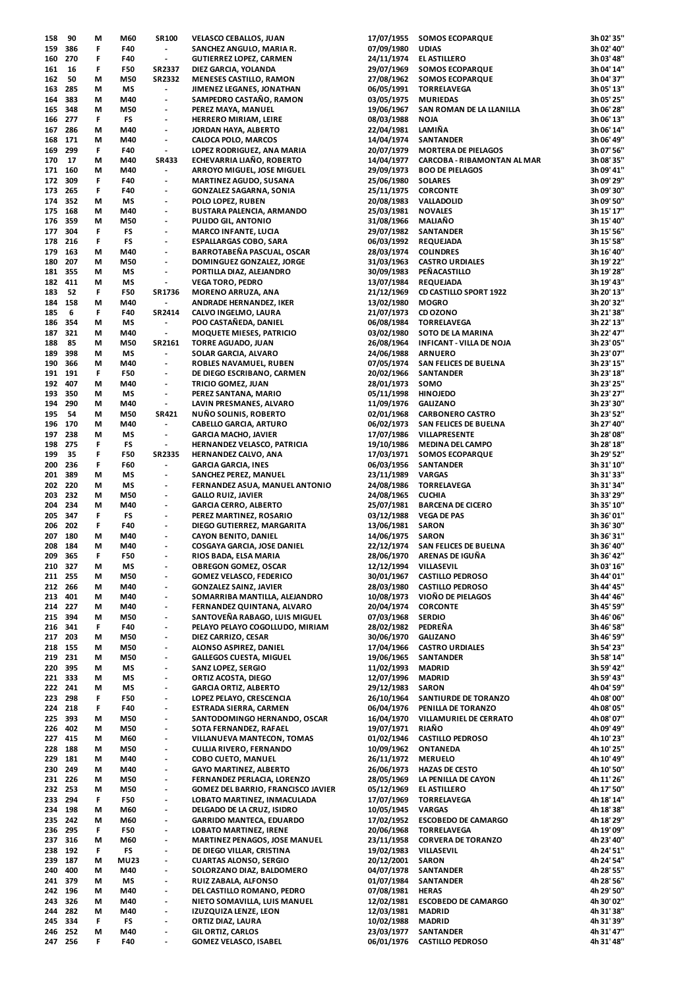| 158 | 90  | M  | M60         | <b>SR100</b>                 | <b>VELASCO CEBALLOS, JUAN</b>        | 17/07/1955 | <b>SOMOS ECOPARQUE</b>          | 3h 02' 35" |
|-----|-----|----|-------------|------------------------------|--------------------------------------|------------|---------------------------------|------------|
| 159 | 386 | F  | F40         | $\overline{\phantom{a}}$     | SANCHEZ ANGULO, MARIA R.             | 07/09/1980 | <b>UDIAS</b>                    | 3h 02' 40" |
| 160 | 270 | F  | F40         | $\overline{\phantom{a}}$     | GUTIERREZ LOPEZ, CARMEN              | 24/11/1974 | <b>EL ASTILLERO</b>             | 3h 03' 48" |
| 161 | 16  | F  | <b>F50</b>  | SR2337                       | DIEZ GARCIA, YOLANDA                 | 29/07/1969 | <b>SOMOS ECOPARQUE</b>          | 3h 04' 14" |
| 162 | 50  | М  | M50         | SR2332                       | <b>MENESES CASTILLO, RAMON</b>       | 27/08/1962 | <b>SOMOS ECOPARQUE</b>          | 3h 04' 37" |
|     |     |    |             |                              |                                      |            |                                 |            |
| 163 | 285 | М  | ΜS          | $\overline{\phantom{a}}$     | JIMENEZ LEGANES, JONATHAN            | 06/05/1991 | <b>TORRELAVEGA</b>              | 3h 05' 13" |
| 164 | 383 | М  | M40         | $\overline{\phantom{a}}$     | SAMPEDRO CASTAÑO, RAMON              | 03/05/1975 | <b>MURIEDAS</b>                 | 3h 05' 25" |
| 165 | 348 | М  | M50         | $\overline{\phantom{a}}$     | PEREZ MAYA, MANUEL                   | 19/06/1967 | SAN ROMAN DE LA LLANILLA        | 3h 06' 28" |
| 166 | 277 | F  | FS          | $\overline{\phantom{a}}$     | HERRERO MIRIAM, LEIRE                | 08/03/1988 | <b>NOJA</b>                     | 3h 06' 13" |
| 167 | 286 | М  | M40         | $\overline{\phantom{a}}$     | JORDAN HAYA, ALBERTO                 | 22/04/1981 | LAMIÑA                          | 3h 06' 14" |
| 168 | 171 | М  | M40         | $\overline{\phantom{a}}$     | CALOCA POLO, MARCOS                  | 14/04/1974 | <b>SANTANDER</b>                | 3h 06' 49" |
|     |     |    |             |                              |                                      |            |                                 |            |
| 169 | 299 | F  | F40         | $\overline{\phantom{a}}$     | LOPEZ RODRIGUEZ, ANA MARIA           | 20/07/1979 | <b>MORTERA DE PIELAGOS</b>      | 3h 07' 56" |
| 170 | 17  | М  | M40         | <b>SR433</b>                 | <b>ECHEVARRIA LIAÑO, ROBERTO</b>     | 14/04/1977 | CARCOBA - RIBAMONTAN AL MAR     | 3h 08' 35" |
| 171 | 160 | М  | M40         | $\overline{\phantom{a}}$     | ARROYO MIGUEL, JOSE MIGUEL           | 29/09/1973 | <b>BOO DE PIELAGOS</b>          | 3h 09' 41" |
| 172 | 309 | F  | F40         | $\overline{\phantom{a}}$     | MARTINEZ AGUDO, SUSANA               | 25/06/1980 | <b>SOLARES</b>                  | 3h 09' 29" |
| 173 | 265 | F  | F40         | $\overline{\phantom{a}}$     | GONZALEZ SAGARNA, SONIA              | 25/11/1975 | <b>CORCONTE</b>                 | 3h 09' 30" |
|     | 352 |    | MS          |                              |                                      |            |                                 | 3h 09' 50" |
| 174 |     | М  |             | $\overline{\phantom{a}}$     | POLO LOPEZ, RUBEN                    | 20/08/1983 | VALLADOLID                      |            |
| 175 | 168 | М  | M40         | $\overline{\phantom{a}}$     | BUSTARA PALENCIA, ARMANDO            | 25/03/1981 | <b>NOVALES</b>                  | 3h 15' 17" |
| 176 | 359 | М  | M50         | $\overline{\phantom{a}}$     | PULIDO GIL, ANTONIO                  | 31/08/1966 | <b>MALIAÑO</b>                  | 3h 15' 40" |
| 177 | 304 | F  | FS          | $\overline{\phantom{a}}$     | MARCO INFANTE, LUCIA                 | 29/07/1982 | <b>SANTANDER</b>                | 3h 15' 56" |
| 178 | 216 | F  | FS          | $\overline{\phantom{m}}$     | ESPALLARGAS COBO, SARA               | 06/03/1992 | <b>REQUEJADA</b>                | 3h 15' 58" |
| 179 | 163 | М  | M40         | $\overline{\phantom{a}}$     | BARROTABEÑA PASCUAL, OSCAR           | 28/03/1974 | <b>COLINDRES</b>                | 3h 16' 40" |
|     |     |    |             |                              |                                      |            |                                 |            |
| 180 | 207 | М  | M50         | $\overline{\phantom{a}}$     | DOMINGUEZ GONZALEZ, JORGE            | 31/03/1963 | <b>CASTRO URDIALES</b>          | 3h 19' 22" |
| 181 | 355 | М  | МS          | $\overline{\phantom{a}}$     | PORTILLA DIAZ, ALEJANDRO             | 30/09/1983 | PEÑACASTILLO                    | 3h 19' 28" |
| 182 | 411 | М  | MS          | $\overline{\phantom{a}}$     | <b>VEGA TORO, PEDRO</b>              | 13/07/1984 | <b>REQUEJADA</b>                | 3h 19' 43" |
| 183 | 52  | F  | F50         | SR1736                       | MORENO ARRUZA, ANA                   | 21/12/1969 | <b>CD CASTILLO SPORT 1922</b>   | 3h 20' 13" |
| 184 | 158 | М  | M40         | $\overline{\phantom{a}}$     | ANDRADE HERNANDEZ, IKER              | 13/02/1980 | <b>MOGRO</b>                    | 3h 20' 32" |
|     |     |    |             |                              |                                      |            |                                 |            |
| 185 | 6   | F  | F40         | SR2414                       | CALVO INGELMO, LAURA                 | 21/07/1973 | CD OZONO                        | 3h 21' 38" |
| 186 | 354 | М  | MS          | $\overline{\phantom{a}}$     | POO CASTAÑEDA, DANIEL                | 06/08/1984 | <b>TORRELAVEGA</b>              | 3h 22' 13" |
| 187 | 321 | М  | M40         | $\overline{\phantom{a}}$     | <b>MOQUETE MIESES, PATRICIO</b>      | 03/02/1980 | SOTO DE LA MARINA               | 3h 22' 47" |
| 188 | 85  | М  | M50         | SR2161                       | <b>TORRE AGUADO, JUAN</b>            | 26/08/1964 | <b>INFICANT - VILLA DE NOJA</b> | 3h 23' 05" |
| 189 | 398 | М  | ΜS          | $\overline{\phantom{a}}$     | SOLAR GARCIA, ALVARO                 | 24/06/1988 | <b>ARNUERO</b>                  | 3h 23' 07" |
|     |     |    |             |                              |                                      |            |                                 |            |
| 190 | 366 | М  | M40         | $\overline{\phantom{a}}$     | ROBLES NAVAMUEL, RUBEN               | 07/05/1974 | SAN FELICES DE BUELNA           | 3h 23' 15" |
| 191 | 191 | F  | F50         | $\overline{\phantom{a}}$     | DE DIEGO ESCRIBANO, CARMEN           | 20/02/1966 | <b>SANTANDER</b>                | 3h 23' 18" |
| 192 | 407 | М  | M40         | $\overline{\phantom{a}}$     | TRICIO GOMEZ, JUAN                   | 28/01/1973 | SOMO                            | 3h 23' 25" |
| 193 | 350 | М  | ΜS          | $\overline{\phantom{a}}$     | PEREZ SANTANA, MARIO                 | 05/11/1998 | <b>HINOJEDO</b>                 | 3h 23' 27" |
| 194 | 290 | М  | M40         | $\overline{\phantom{a}}$     |                                      | 11/09/1976 | <b>GALIZANO</b>                 | 3h 23' 30" |
|     |     |    |             |                              | LAVIN PRESMANES, ALVARO              |            |                                 |            |
| 195 | 54  | М  | M50         | <b>SR421</b>                 | <b>NUÑO SOLINIS, ROBERTO</b>         | 02/01/1968 | <b>CARBONERO CASTRO</b>         | 3h 23' 52" |
| 196 | 170 | M  | M40         | $\overline{\phantom{a}}$     | <b>CABELLO GARCIA, ARTURO</b>        | 06/02/1973 | SAN FELICES DE BUELNA           | 3h 27' 40" |
| 197 | 238 | М  | ΜS          | $\overline{\phantom{a}}$     | GARCIA MACHO, JAVIER                 | 17/07/1986 | VILLAPRESENTE                   | 3h 28' 08" |
| 198 | 275 | F  | FS          | $\overline{\phantom{a}}$     | HERNANDEZ VELASCO, PATRICIA          | 19/10/1986 | <b>MEDINA DEL CAMPO</b>         | 3h 28' 18" |
| 199 | 35  | F  | F50         | SR2335                       | HERNANDEZ CALVO, ANA                 | 17/03/1971 | <b>SOMOS ECOPARQUE</b>          | 3h 29' 52" |
|     |     |    |             | $\overline{\phantom{a}}$     |                                      |            |                                 |            |
| 200 | 236 | F  | F60         |                              | GARCIA GARCIA, INES                  | 06/03/1956 | SANTANDER                       | 3h 31' 10" |
| 201 | 389 | М  | ΜS          | $\overline{\phantom{a}}$     | SANCHEZ PEREZ, MANUEL                | 23/11/1989 | <b>VARGAS</b>                   | 3h 31' 33" |
| 202 | 220 | М  | MS          | $\overline{\phantom{a}}$     | FERNANDEZ ASUA, MANUEL ANTONIO       | 24/08/1986 | <b>TORRELAVEGA</b>              | 3h 31' 34" |
| 203 | 232 | М  | M50         | $\overline{\phantom{a}}$     | GALLO RUIZ, JAVIER                   | 24/08/1965 | <b>CUCHIA</b>                   | 3h 33' 29" |
| 204 | 234 | М  | M40         | $\overline{\phantom{a}}$     | GARCIA CERRO, ALBERTO                | 25/07/1981 | <b>BARCENA DE CICERO</b>        | 3h 35' 10" |
|     | 347 | F  | FS          | $\overline{\phantom{a}}$     |                                      | 03/12/1988 |                                 | 3h 36' 01" |
| 205 |     |    |             |                              | PEREZ MARTINEZ, ROSARIO              |            | <b>VEGA DE PAS</b>              |            |
| 206 | 202 | F  | F40         | $\overline{\phantom{a}}$     | DIEGO GUTIERREZ, MARGARITA           | 13/06/1981 | <b>SARON</b>                    | 3h 36' 30" |
| 207 | 180 | М  | M40         | $\overline{\phantom{a}}$     | CAYON BENITO, DANIEL                 | 14/06/1975 | <b>SARON</b>                    | 3h 36' 31" |
| 208 | 184 | М  | M40         | $\overline{\phantom{a}}$     | COSGAYA GARCIA, JOSE DANIEL          | 22/12/1974 | SAN FELICES DE BUELNA           | 3h 36' 40" |
| 209 | 365 | F  | F50         | $\overline{\phantom{a}}$     | RIOS BADA, ELSA MARIA                | 28/06/1970 | ARENAS DE IGUÑA                 | 3h 36' 42" |
| 210 | 327 | М  | ΜS          | $\overline{\phantom{a}}$     | <b>OBREGON GOMEZ, OSCAR</b>          | 12/12/1994 | VILLASEVIL                      | 3h 03' 16" |
|     |     |    |             |                              |                                      |            |                                 |            |
| 211 | 255 | М  | M50         | $\overline{\phantom{a}}$     | GOMEZ VELASCO, FEDERICO              | 30/01/1967 | <b>CASTILLO PEDROSO</b>         | 3h 44' 01" |
| 212 | 266 | М  | M40         | $\overline{\phantom{a}}$     | <b>GONZALEZ SAINZ, JAVIER</b>        | 28/03/1980 | <b>CASTILLO PEDROSO</b>         | 3h 44' 45" |
| 213 | 401 | М  | M40         | $\overline{\phantom{a}}$     | SOMARRIBA MANTILLA, ALEJANDRO        | 10/08/1973 | VIOÑO DE PIELAGOS               | 3h 44' 46" |
| 214 | 227 | М  | M40         | $\overline{\phantom{a}}$     | FERNANDEZ QUINTANA, ALVARO           | 20/04/1974 | <b>CORCONTE</b>                 | 3h 45' 59" |
| 215 | 394 | М  | M50         | $\overline{\phantom{a}}$     | SANTOVEÑA RABAGO, LUIS MIGUEL        | 07/03/1968 | <b>SERDIO</b>                   | 3h 46' 06" |
|     | 341 | F. |             |                              |                                      |            | PEDREÑA                         |            |
| 216 |     |    | F40         | $\overline{\phantom{a}}$     | PELAYO PELAYO COGOLLUDO, MIRIAM      | 28/02/1982 |                                 | 3h 46' 58" |
| 217 | 203 | М  | M50         | $\overline{\phantom{a}}$     | DIEZ CARRIZO, CESAR                  | 30/06/1970 | <b>GALIZANO</b>                 | 3h 46' 59" |
| 218 | 155 | М  | M50         | $\overline{\phantom{a}}$     | ALONSO ASPIREZ, DANIEL               | 17/04/1966 | <b>CASTRO URDIALES</b>          | 3h 54' 23" |
| 219 | 231 | М  | M50         | $\overline{\phantom{a}}$     | <b>GALLEGOS CUESTA, MIGUEL</b>       | 19/06/1965 | SANTANDER                       | 3h 58' 14" |
| 220 | 395 | М  | ΜS          | $\overline{\phantom{a}}$     | SANZ LOPEZ, SERGIO                   | 11/02/1993 | <b>MADRID</b>                   | 3h 59' 42" |
| 221 | 333 | М  | МS          | $\overline{\phantom{a}}$     | ORTIZ ACOSTA, DIEGO                  | 12/07/1996 | <b>MADRID</b>                   | 3h 59' 43" |
|     | 241 |    |             | $\overline{\phantom{a}}$     |                                      |            |                                 |            |
| 222 |     | М  | ΜS          |                              | <b>GARCIA ORTIZ, ALBERTO</b>         | 29/12/1983 | <b>SARON</b>                    | 4h 04' 59" |
| 223 | 298 | F  | F50         | $\overline{a}$               | LOPEZ PELAYO, CRESCENCIA             | 26/10/1964 | SANTIURDE DE TORANZO            | 4h 08' 00" |
| 224 | 218 | F  | F40         | $\overline{\phantom{a}}$     | ESTRADA SIERRA, CARMEN               | 06/04/1976 | PENILLA DE TORANZO              | 4h 08' 05" |
| 225 | 393 | М  | M50         | $\overline{\phantom{a}}$     | SANTODOMINGO HERNANDO, OSCAR         | 16/04/1970 | VILLAMURIEL DE CERRATO          | 4h 08' 07" |
| 226 | 402 | М  | M50         | $\overline{\phantom{a}}$     | SOTA FERNANDEZ, RAFAEL               | 19/07/1971 | RIAÑO                           | 4h 09' 49" |
| 227 | 415 | М  | M60         | $\overline{\phantom{a}}$     | VILLANUEVA MANTECON, TOMAS           | 01/02/1946 | <b>CASTILLO PEDROSO</b>         | 4h 10' 23" |
|     |     |    |             |                              |                                      |            |                                 |            |
| 228 | 188 | М  | M50         | $\overline{\phantom{a}}$     | <b>CULLIA RIVERO, FERNANDO</b>       | 10/09/1962 | ONTANEDA                        | 4h 10' 25" |
| 229 | 181 | М  | M40         | $\overline{\phantom{a}}$     | <b>COBO CUETO, MANUEL</b>            | 26/11/1972 | <b>MERUELO</b>                  | 4h 10' 49" |
| 230 | 249 | М  | M40         | $\overline{a}$               | <b>GAYO MARTINEZ, ALBERTO</b>        | 26/06/1973 | <b>HAZAS DE CESTO</b>           | 4h 10' 50" |
| 231 | 226 | М  | M50         | $\overline{\phantom{a}}$     | FERNANDEZ PERLACIA, LORENZO          | 28/05/1969 | LA PENILLA DE CAYON             | 4h 11' 26" |
| 232 | 253 | М  | M50         | $\qquad \qquad \blacksquare$ | GOMEZ DEL BARRIO, FRANCISCO JAVIER   | 05/12/1969 | EL ASTILLERO                    | 4h 17' 50" |
|     | 294 | F. | F50         |                              |                                      | 17/07/1969 |                                 | 4h 18' 14" |
| 233 |     |    |             | $\overline{\phantom{a}}$     | LOBATO MARTINEZ, INMACULADA          |            | <b>TORRELAVEGA</b>              |            |
| 234 | 198 | М  | M60         | $\overline{\phantom{a}}$     | DELGADO DE LA CRUZ, ISIDRO           | 10/05/1945 | <b>VARGAS</b>                   | 4h 18' 38" |
| 235 | 242 | М  | M60         | $\overline{\phantom{a}}$     | GARRIDO MANTECA, EDUARDO             | 17/02/1952 | <b>ESCOBEDO DE CAMARGO</b>      | 4h 18' 29" |
| 236 | 295 | F  | <b>F50</b>  | $\overline{\phantom{a}}$     | LOBATO MARTINEZ, IRENE               | 20/06/1968 | <b>TORRELAVEGA</b>              | 4h 19' 09" |
| 237 | 316 | М  | M60         | $\overline{\phantom{a}}$     | <b>MARTINEZ PENAGOS, JOSE MANUEL</b> | 23/11/1958 | <b>CORVERA DE TORANZO</b>       | 4h 23' 40" |
| 238 | 192 | F  | FS          | $\overline{\phantom{a}}$     | DE DIEGO VILLAR, CRISTINA            | 19/02/1983 | VILLASEVIL                      | 4h 24' 51" |
|     |     |    |             |                              |                                      |            |                                 |            |
| 239 | 187 | М  | <b>MU23</b> | $\overline{a}$               | <b>CUARTAS ALONSO, SERGIO</b>        | 20/12/2001 | <b>SARON</b>                    | 4h 24' 54" |
| 240 | 400 | М  | M40         | $\overline{\phantom{a}}$     | SOLORZANO DIAZ, BALDOMERO            | 04/07/1978 | SANTANDER                       | 4h 28' 55" |
| 241 | 379 | М  | ΜS          | $\overline{\phantom{a}}$     | RUIZ ZABALA, ALFONSO                 | 01/07/1984 | SANTANDER                       | 4h 28' 56" |
| 242 | 196 | М  | M40         | $\overline{\phantom{a}}$     | DEL CASTILLO ROMANO, PEDRO           | 07/08/1981 | <b>HERAS</b>                    | 4h 29' 50" |
| 243 | 326 | М  | M40         | $\overline{\phantom{a}}$     | NIETO SOMAVILLA, LUIS MANUEL         | 12/02/1981 | <b>ESCOBEDO DE CAMARGO</b>      | 4h 30' 02" |
|     |     |    |             |                              |                                      |            |                                 |            |
| 244 | 282 | М  | M40         | $\overline{\phantom{a}}$     | IZUZQUIZA LENZE, LEON                | 12/03/1981 | <b>MADRID</b>                   | 4h 31' 38" |
| 245 | 334 | F  | FS          | $\overline{\phantom{a}}$     | ORTIZ DIAZ, LAURA                    | 10/02/1988 | <b>MADRID</b>                   | 4h 31' 39" |
| 246 | 252 | М  | M40         | $\overline{\phantom{a}}$     | GIL ORTIZ, CARLOS                    | 23/03/1977 | SANTANDER                       | 4h 31' 47" |
| 247 | 256 | F  | F40         | $\overline{\phantom{a}}$     | GOMEZ VELASCO, ISABEL                | 06/01/1976 | <b>CASTILLO PEDROSO</b>         | 4h 31' 48" |
|     |     |    |             |                              |                                      |            |                                 |            |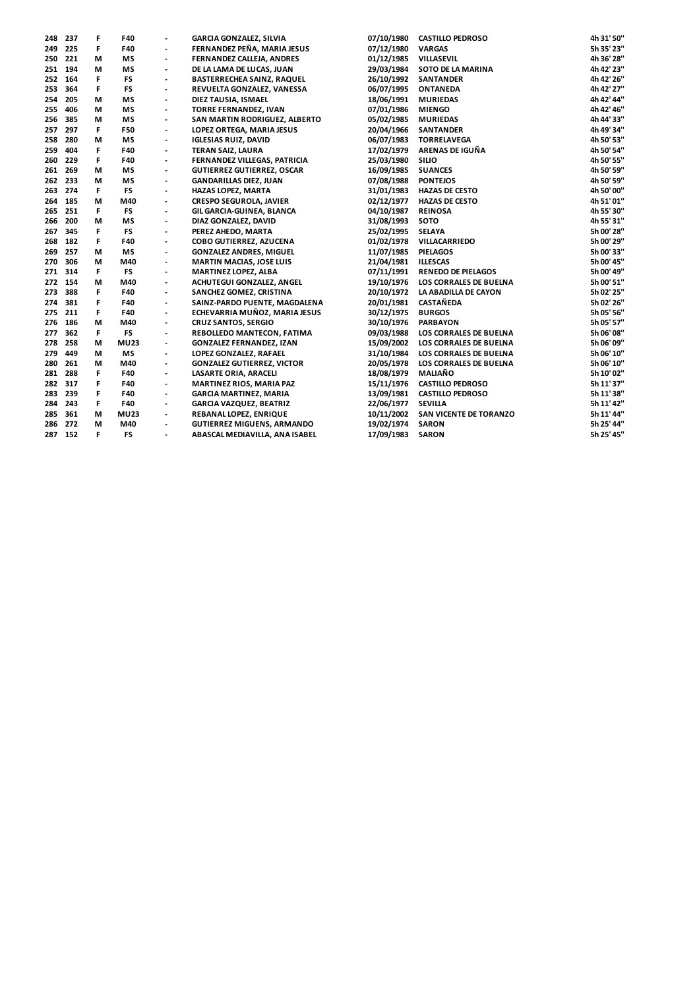| 248 | 237     | F  | F40         |                              | <b>GARCIA GONZALEZ, SILVIA</b>    | 07/10/1980 | <b>CASTILLO PEDROSO</b>   | 4h 31' 50" |
|-----|---------|----|-------------|------------------------------|-----------------------------------|------------|---------------------------|------------|
| 249 | 225     | F  | F40         |                              | FERNANDEZ PEÑA, MARIA JESUS       | 07/12/1980 | <b>VARGAS</b>             | 5h 35' 23" |
| 250 | 221     | М  | <b>MS</b>   | $\overline{\phantom{a}}$     | FERNANDEZ CALLEJA, ANDRES         | 01/12/1985 | VILLASEVIL                | 4h 36' 28" |
|     | 251 194 | М  | ΜS          | $\overline{\phantom{a}}$     | DE LA LAMA DE LUCAS, JUAN         | 29/03/1984 | SOTO DE LA MARINA         | 4h 42' 23" |
| 252 | 164     | F  | FS          | $\qquad \qquad \blacksquare$ | <b>BASTERRECHEA SAINZ, RAQUEL</b> | 26/10/1992 | <b>SANTANDER</b>          | 4h 42' 26" |
| 253 | 364     | F. | FS          | $\overline{\phantom{a}}$     | REVUELTA GONZALEZ, VANESSA        | 06/07/1995 | <b>ONTANEDA</b>           | 4h 42' 27" |
| 254 | 205     | М  | <b>MS</b>   | $\overline{\phantom{a}}$     | DIEZ TAUSIA, ISMAEL               | 18/06/1991 | <b>MURIEDAS</b>           | 4h 42' 44" |
| 255 | 406     | М  | <b>MS</b>   | $\qquad \qquad \blacksquare$ | TORRE FERNANDEZ, IVAN             | 07/01/1986 | <b>MIENGO</b>             | 4h 42' 46" |
| 256 | 385     | М  | <b>MS</b>   | $\overline{\phantom{a}}$     | SAN MARTIN RODRIGUEZ, ALBERTO     | 05/02/1985 | <b>MURIEDAS</b>           | 4h 44' 33" |
| 257 | 297     | F  | F50         | $\qquad \qquad \blacksquare$ | LOPEZ ORTEGA, MARIA JESUS         | 20/04/1966 | <b>SANTANDER</b>          | 4h 49' 34" |
| 258 | 280     | М  | <b>MS</b>   | $\overline{\phantom{a}}$     | <b>IGLESIAS RUIZ, DAVID</b>       | 06/07/1983 | <b>TORRELAVEGA</b>        | 4h 50' 53" |
| 259 | 404     | F  | F40         | $\overline{\phantom{a}}$     | <b>TERAN SAIZ, LAURA</b>          | 17/02/1979 | ARENAS DE IGUÑA           | 4h 50' 54" |
| 260 | 229     | F  | F40         | $\overline{\phantom{a}}$     | FERNANDEZ VILLEGAS, PATRICIA      | 25/03/1980 | <b>SILIO</b>              | 4h 50' 55" |
| 261 | 269     | М  | <b>MS</b>   | $\overline{\phantom{a}}$     | <b>GUTIERREZ GUTIERREZ, OSCAR</b> | 16/09/1985 | <b>SUANCES</b>            | 4h 50' 59" |
| 262 | 233     | М  | <b>MS</b>   | $\overline{\phantom{a}}$     | <b>GANDARILLAS DIEZ, JUAN</b>     | 07/08/1988 | <b>PONTEJOS</b>           | 4h 50' 59" |
| 263 | 274     | F  | <b>FS</b>   | $\overline{a}$               | <b>HAZAS LOPEZ, MARTA</b>         | 31/01/1983 | <b>HAZAS DE CESTO</b>     | 4h 50' 00" |
|     | 264 185 | М  | M40         | $\qquad \qquad \blacksquare$ | <b>CRESPO SEGUROLA, JAVIER</b>    | 02/12/1977 | <b>HAZAS DE CESTO</b>     | 4h 51' 01" |
| 265 | 251     | F  | FS          | $\overline{\phantom{a}}$     | GIL GARCIA-GUINEA, BLANCA         | 04/10/1987 | <b>REINOSA</b>            | 4h 55' 30" |
| 266 | 200     | М  | <b>MS</b>   | $\overline{\phantom{a}}$     | DIAZ GONZALEZ, DAVID              | 31/08/1993 | SOTO                      | 4h 55' 31" |
| 267 | 345     | F  | FS          | $\overline{\phantom{a}}$     | PEREZ AHEDO, MARTA                | 25/02/1995 | <b>SELAYA</b>             | 5h 00' 28" |
| 268 | 182     | F  | F40         | $\overline{\phantom{a}}$     | COBO GUTIERREZ, AZUCENA           | 01/02/1978 | VILLACARRIEDO             | 5h 00' 29" |
| 269 | 257     | М  | <b>MS</b>   | $\qquad \qquad \blacksquare$ | <b>GONZALEZ ANDRES, MIGUEL</b>    | 11/07/1985 | <b>PIELAGOS</b>           | 5h 00' 33" |
| 270 | 306     | М  | M40         | $\blacksquare$               | <b>MARTIN MACIAS, JOSE LUIS</b>   | 21/04/1981 | <b>ILLESCAS</b>           | 5h 00' 45" |
| 271 | 314     | F  | <b>FS</b>   | $\overline{\phantom{a}}$     | MARTINEZ LOPEZ, ALBA              | 07/11/1991 | <b>RENEDO DE PIELAGOS</b> | 5h 00' 49" |
|     | 272 154 | М  | M40         | $\blacksquare$               | ACHUTEGUI GONZALEZ, ANGEL         | 19/10/1976 | LOS CORRALES DE BUELNA    | 5h 00' 51" |
| 273 | 388     | F  | F40         | $\overline{\phantom{a}}$     | SANCHEZ GOMEZ, CRISTINA           | 20/10/1972 | LA ABADILLA DE CAYON      | 5h 02' 25" |
| 274 | 381     | F  | F40         | $\overline{\phantom{a}}$     | SAINZ-PARDO PUENTE, MAGDALENA     | 20/01/1981 | <b>CASTAÑEDA</b>          | 5h 02' 26" |
| 275 | 211     | F  | F40         |                              | ECHEVARRIA MUÑOZ, MARIA JESUS     | 30/12/1975 | <b>BURGOS</b>             | 5h 05' 56" |
| 276 | 186     | М  | M40         | $\blacksquare$               | <b>CRUZ SANTOS, SERGIO</b>        | 30/10/1976 | <b>PARBAYON</b>           | 5h 05' 57" |
| 277 | 362     | F  | <b>FS</b>   | $\overline{\phantom{a}}$     | REBOLLEDO MANTECON, FATIMA        | 09/03/1988 | LOS CORRALES DE BUELNA    | 5h 06' 08" |
| 278 | 258     | М  | <b>MU23</b> | $\blacksquare$               | <b>GONZALEZ FERNANDEZ, IZAN</b>   | 15/09/2002 | LOS CORRALES DE BUELNA    | 5h 06' 09" |
| 279 | 449     | М  | <b>MS</b>   | $\overline{\phantom{a}}$     | LOPEZ GONZALEZ, RAFAEL            | 31/10/1984 | LOS CORRALES DE BUELNA    | 5h 06' 10" |
| 280 | 261     | М  | M40         | $\overline{\phantom{a}}$     | <b>GONZALEZ GUTIERREZ, VICTOR</b> | 20/05/1978 | LOS CORRALES DE BUELNA    | 5h 06' 10" |
| 281 | 288     | F  | F40         | $\overline{\phantom{a}}$     | LASARTE ORIA, ARACELI             | 18/08/1979 | <b>MALIAÑO</b>            | 5h 10' 02" |
| 282 | 317     | F  | F40         |                              | MARTINEZ RIOS, MARIA PAZ          | 15/11/1976 | <b>CASTILLO PEDROSO</b>   | 5h 11' 37" |
| 283 | 239     | F  | F40         | $\overline{a}$               | <b>GARCIA MARTINEZ, MARIA</b>     | 13/09/1981 | <b>CASTILLO PEDROSO</b>   | 5h 11' 38" |
| 284 | 243     | F  | F40         | $\overline{\phantom{a}}$     | <b>GARCIA VAZQUEZ, BEATRIZ</b>    | 22/06/1977 | <b>SEVILLA</b>            | 5h 11' 42" |
| 285 | 361     | М  | <b>MU23</b> | $\overline{\phantom{a}}$     | REBANAL LOPEZ, ENRIQUE            | 10/11/2002 | SAN VICENTE DE TORANZO    | 5h 11' 44" |
| 286 | 272     | М  | M40         | $\overline{\phantom{a}}$     | <b>GUTIERREZ MIGUENS, ARMANDO</b> | 19/02/1974 | <b>SARON</b>              | 5h 25' 44" |
|     | 287 152 | F. | <b>FS</b>   | $\overline{\phantom{a}}$     | ABASCAL MEDIAVILLA, ANA ISABEL    | 17/09/1983 | <b>SARON</b>              | 5h 25' 45" |
|     |         |    |             |                              |                                   |            |                           |            |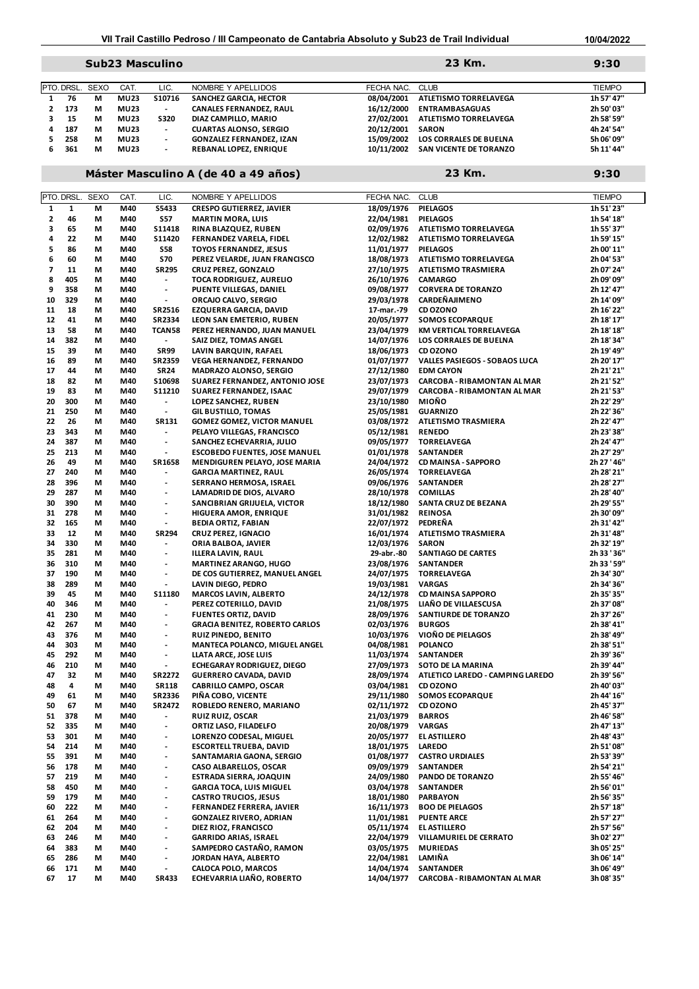### **Sub23 Masculino 9:30**

|    | PTO.DRSL. SEXO |   | CAT.        | LIC.                     | NOMBRE Y APELLIDOS              | FECHA NAC. CLUB |                               | <b>TIEMPO</b> |
|----|----------------|---|-------------|--------------------------|---------------------------------|-----------------|-------------------------------|---------------|
|    | 76             | М | <b>MU23</b> | S10716                   | <b>SANCHEZ GARCIA, HECTOR</b>   | 08/04/2001      | ATLETISMO TORRELAVEGA         | 1h 57' 47"    |
|    | 173            | м | <b>MU23</b> | $\overline{\phantom{a}}$ | <b>CANALES FERNANDEZ, RAUL</b>  | 16/12/2000      | <b>ENTRAMBASAGUAS</b>         | 2h 50' 03"    |
|    | 15             | м | <b>MU23</b> | <b>S320</b>              | DIAZ CAMPILLO, MARIO            | 27/02/2001      | ATLETISMO TORRELAVEGA         | 2h 58' 59"    |
| 4  | 187            | м | <b>MU23</b> | $\overline{\phantom{a}}$ | <b>CUARTAS ALONSO, SERGIO</b>   | 20/12/2001      | <b>SARON</b>                  | 4h 24' 54"    |
|    | 258            | м | <b>MU23</b> | $\overline{\phantom{a}}$ | <b>GONZALEZ FERNANDEZ. IZAN</b> | 15/09/2002      | <b>LOS CORRALES DE BUELNA</b> | 5h 06' 09"    |
| 6. | 361            | м | <b>MU23</b> | $\overline{\phantom{0}}$ | <b>REBANAL LOPEZ. ENRIQUE</b>   | 10/11/2002      | SAN VICENTE DE TORANZO        | 5h 11' 44"    |
|    |                |   |             |                          |                                 |                 |                               |               |

# **Máster Masculino A (de 40 a 49 años) 9:30**

**23 Km.**

**23 Km.**

| PTO. DRSL.<br>1<br>$\mathbf 2$<br>3<br>4<br>5<br>6<br>$\boldsymbol{7}$<br>8<br>9 | $\mathbf{1}$<br>46<br>65<br>22<br>86<br>60<br>11<br>405<br>358<br>329 | <b>SEXO</b><br>М<br>М<br>м<br>М<br>М<br>М<br>М<br>М | CAT.<br>M40<br>M40<br>M40<br>M40<br>M40<br>M40 | LIC.<br>S5433<br><b>S57</b><br>\$11418<br>S11420<br><b>S58</b> | NOMBRE Y APELLIDOS<br><b>CRESPO GUTIERREZ, JAVIER</b><br><b>MARTIN MORA, LUIS</b><br>RINA BLAZQUEZ, RUBEN<br>FERNANDEZ VARELA, FIDEL | FECHA NAC.<br>18/09/1976<br>22/04/1981<br>02/09/1976 | <b>CLUB</b><br><b>PIELAGOS</b><br><b>PIELAGOS</b><br>ATLETISMO TORRELAVEGA | <b>TIEMPO</b><br>1h 51' 23"<br>1h 54' 18"<br>1h 55' 37" |
|----------------------------------------------------------------------------------|-----------------------------------------------------------------------|-----------------------------------------------------|------------------------------------------------|----------------------------------------------------------------|--------------------------------------------------------------------------------------------------------------------------------------|------------------------------------------------------|----------------------------------------------------------------------------|---------------------------------------------------------|
|                                                                                  |                                                                       |                                                     |                                                |                                                                |                                                                                                                                      |                                                      |                                                                            |                                                         |
|                                                                                  |                                                                       |                                                     |                                                |                                                                |                                                                                                                                      |                                                      |                                                                            |                                                         |
|                                                                                  |                                                                       |                                                     |                                                |                                                                |                                                                                                                                      |                                                      |                                                                            |                                                         |
|                                                                                  |                                                                       |                                                     |                                                |                                                                |                                                                                                                                      |                                                      |                                                                            |                                                         |
|                                                                                  |                                                                       |                                                     |                                                |                                                                |                                                                                                                                      | 12/02/1982                                           | ATLETISMO TORRELAVEGA                                                      | 1h 59' 15"                                              |
|                                                                                  |                                                                       |                                                     |                                                |                                                                | <b>TOYOS FERNANDEZ, JESUS</b>                                                                                                        | 11/01/1977                                           | <b>PIELAGOS</b>                                                            | 2h 00' 11"                                              |
|                                                                                  |                                                                       |                                                     |                                                | <b>S70</b>                                                     | PEREZ VELARDE, JUAN FRANCISCO                                                                                                        | 18/08/1973                                           | ATLETISMO TORRELAVEGA                                                      | 2h 04' 53"                                              |
|                                                                                  |                                                                       |                                                     |                                                | <b>SR295</b>                                                   | <b>CRUZ PEREZ, GONZALO</b>                                                                                                           | 27/10/1975                                           | ATLETISMO TRASMIERA                                                        | 2h 07' 24"                                              |
|                                                                                  |                                                                       |                                                     | M40                                            |                                                                |                                                                                                                                      |                                                      |                                                                            |                                                         |
|                                                                                  |                                                                       |                                                     | M40                                            | $\overline{\phantom{a}}$                                       | TOCA RODRIGUEZ, AURELIO                                                                                                              | 26/10/1976                                           | <b>CAMARGO</b>                                                             | 2h 09' 09"                                              |
|                                                                                  |                                                                       | М                                                   | M40                                            | $\overline{\phantom{a}}$                                       | PUENTE VILLEGAS, DANIEL                                                                                                              | 09/08/1977                                           | <b>CORVERA DE TORANZO</b>                                                  | 2h 12' 47"                                              |
| 10                                                                               |                                                                       | М                                                   | M40                                            | $\blacksquare$                                                 | ORCAJO CALVO, SERGIO                                                                                                                 | 29/03/1978                                           | <b>CARDEÑAJIMENO</b>                                                       | 2h 14' 09"                                              |
| 11                                                                               | 18                                                                    | М                                                   | M40                                            | SR2516                                                         | EZQUERRA GARCIA, DAVID                                                                                                               | 17-mar.-79                                           | CD OZONO                                                                   | 2h 16' 22"                                              |
| 12                                                                               | 41                                                                    | М                                                   | M40                                            | SR2334                                                         | LEON SAN EMETERIO, RUBEN                                                                                                             | 20/05/1977                                           | <b>SOMOS ECOPARQUE</b>                                                     | 2h 18' 17"                                              |
| 13                                                                               | 58                                                                    | М                                                   | M40                                            | TCAN58                                                         | PEREZ HERNANDO, JUAN MANUEL                                                                                                          | 23/04/1979                                           | KM VERTICAL TORRELAVEGA                                                    | 2h 18' 18"                                              |
| 14                                                                               | 382                                                                   | М                                                   | M40                                            | $\blacksquare$                                                 | SAIZ DIEZ, TOMAS ANGEL                                                                                                               | 14/07/1976                                           | LOS CORRALES DE BUELNA                                                     | 2h 18' 34"                                              |
| 15                                                                               | 39                                                                    | М                                                   | M40                                            | <b>SR99</b>                                                    | LAVIN BARQUIN, RAFAEL                                                                                                                | 18/06/1973                                           | CD OZONO                                                                   | 2h 19' 49"                                              |
|                                                                                  |                                                                       |                                                     |                                                |                                                                |                                                                                                                                      |                                                      |                                                                            |                                                         |
| 16                                                                               | 89                                                                    | М                                                   | M40                                            | <b>SR2359</b>                                                  | <b>VEGA HERNANDEZ, FERNANDO</b>                                                                                                      | 01/07/1977                                           | VALLES PASIEGOS - SOBAOS LUCA                                              | 2h 20' 17"                                              |
| 17                                                                               | 44                                                                    | М                                                   | M40                                            | <b>SR24</b>                                                    | <b>MADRAZO ALONSO, SERGIO</b>                                                                                                        | 27/12/1980                                           | <b>EDM CAYON</b>                                                           | 2h 21' 21"                                              |
| 18                                                                               | 82                                                                    | М                                                   | M40                                            | S10698                                                         | SUAREZ FERNANDEZ, ANTONIO JOSE                                                                                                       | 23/07/1973                                           | CARCOBA - RIBAMONTAN AL MAR                                                | 2h 21' 52"                                              |
| 19                                                                               | 83                                                                    | М                                                   | M40                                            | S11210                                                         | SUAREZ FERNANDEZ, ISAAC                                                                                                              | 29/07/1979                                           | CARCOBA - RIBAMONTAN AL MAR                                                | 2h 21' 53"                                              |
| 20                                                                               | 300                                                                   | М                                                   | M40                                            | $\blacksquare$                                                 | LOPEZ SANCHEZ, RUBEN                                                                                                                 | 23/10/1980                                           | MIOÑO                                                                      | 2h 22' 29"                                              |
| 21                                                                               | 250                                                                   | М                                                   | M40                                            | $\overline{\phantom{a}}$                                       | <b>GIL BUSTILLO, TOMAS</b>                                                                                                           | 25/05/1981                                           | <b>GUARNIZO</b>                                                            | 2h 22' 36"                                              |
| 22                                                                               | 26                                                                    | М                                                   | M40                                            | SR131                                                          | <b>GOMEZ GOMEZ, VICTOR MANUEL</b>                                                                                                    | 03/08/1972                                           | ATLETISMO TRASMIERA                                                        | 2h 22' 47"                                              |
|                                                                                  | 343                                                                   | М                                                   |                                                |                                                                |                                                                                                                                      |                                                      |                                                                            |                                                         |
| 23                                                                               |                                                                       |                                                     | M40                                            | $\overline{\phantom{a}}$                                       | PELAYO VILLEGAS, FRANCISCO                                                                                                           | 05/12/1981                                           | <b>RENEDO</b>                                                              | 2h 23' 38"                                              |
| 24                                                                               | 387                                                                   | М                                                   | M40                                            | $\overline{\phantom{a}}$                                       | SANCHEZ ECHEVARRIA, JULIO                                                                                                            | 09/05/1977                                           | <b>TORRELAVEGA</b>                                                         | 2h 24' 47"                                              |
| 25                                                                               | 213                                                                   | М                                                   | M40                                            | $\blacksquare$                                                 | <b>ESCOBEDO FUENTES, JOSE MANUEL</b>                                                                                                 | 01/01/1978                                           | <b>SANTANDER</b>                                                           | 2h 27' 29"                                              |
| 26                                                                               | 49                                                                    | М                                                   | M40                                            | SR1658                                                         | MENDIGUREN PELAYO, JOSE MARIA                                                                                                        | 24/04/1972                                           | CD MAINSA - SAPPORO                                                        | 2h 27 ' 46"                                             |
| 27                                                                               | 240                                                                   | М                                                   | M40                                            | $\overline{\phantom{a}}$                                       | <b>GARCIA MARTINEZ, RAUL</b>                                                                                                         | 26/05/1974                                           | <b>TORRELAVEGA</b>                                                         | 2h 28' 21"                                              |
| 28                                                                               | 396                                                                   | М                                                   | M40                                            | $\overline{\phantom{a}}$                                       | SERRANO HERMOSA, ISRAEL                                                                                                              | 09/06/1976                                           | <b>SANTANDER</b>                                                           | 2h 28' 27"                                              |
| 29                                                                               | 287                                                                   | М                                                   | M40                                            | $\overline{\phantom{a}}$                                       | LAMADRID DE DIOS, ALVARO                                                                                                             | 28/10/1978                                           | <b>COMILLAS</b>                                                            | 2h 28' 40"                                              |
| 30                                                                               | 390                                                                   | М                                                   | M40                                            | $\overline{\phantom{a}}$                                       | SANCIBRIAN GRIJUELA, VICTOR                                                                                                          | 18/12/1980                                           | SANTA CRUZ DE BEZANA                                                       | 2h 29' 55"                                              |
|                                                                                  |                                                                       |                                                     |                                                |                                                                |                                                                                                                                      |                                                      |                                                                            |                                                         |
| 31                                                                               | 278                                                                   | М                                                   | M40                                            | $\overline{\phantom{a}}$                                       | HIGUERA AMOR, ENRIQUE                                                                                                                | 31/01/1982                                           | <b>REINOSA</b>                                                             | 2h 30' 09"                                              |
| 32                                                                               | 165                                                                   | М                                                   | M40                                            | $\overline{\phantom{a}}$                                       | <b>BEDIA ORTIZ, FABIAN</b>                                                                                                           | 22/07/1972                                           | PEDREÑA                                                                    | 2h 31' 42"                                              |
| 33                                                                               | 12                                                                    | М                                                   | M40                                            | <b>SR294</b>                                                   | <b>CRUZ PEREZ, IGNACIO</b>                                                                                                           | 16/01/1974                                           | <b>ATLETISMO TRASMIERA</b>                                                 | 2h 31' 48"                                              |
| 34                                                                               | 330                                                                   | М                                                   | M40                                            | $\overline{\phantom{a}}$                                       | ORIA BALBOA, JAVIER                                                                                                                  | 12/03/1976                                           | <b>SARON</b>                                                               | 2h 32' 19"                                              |
| 35                                                                               | 281                                                                   | М                                                   | M40                                            | $\blacksquare$                                                 | <b>ILLERA LAVIN, RAUL</b>                                                                                                            | 29-abr.-80                                           | SANTIAGO DE CARTES                                                         | 2h 33 ' 36"                                             |
| 36                                                                               | 310                                                                   | М                                                   | M40                                            | $\overline{\phantom{a}}$                                       | <b>MARTINEZ ARANGO, HUGO</b>                                                                                                         | 23/08/1976                                           | <b>SANTANDER</b>                                                           | 2h 33 ' 59"                                             |
| 37                                                                               | 190                                                                   | М                                                   | M40                                            | $\overline{\phantom{a}}$                                       | DE COS GUTIERREZ, MANUEL ANGEL                                                                                                       | 24/07/1975                                           | <b>TORRELAVEGA</b>                                                         | 2h 34' 30"                                              |
| 38                                                                               | 289                                                                   | М                                                   | M40                                            | $\overline{\phantom{a}}$                                       | LAVIN DIEGO, PEDRO                                                                                                                   | 19/03/1981                                           | <b>VARGAS</b>                                                              | 2h 34' 36"                                              |
|                                                                                  |                                                                       |                                                     |                                                |                                                                |                                                                                                                                      |                                                      |                                                                            |                                                         |
| 39                                                                               | 45                                                                    | М                                                   | M40                                            | S11180                                                         | <b>MARCOS LAVIN, ALBERTO</b>                                                                                                         | 24/12/1978                                           | CD MAINSA SAPPORO                                                          | 2h 35' 35"                                              |
| 40                                                                               | 346                                                                   | М                                                   | M40                                            | $\overline{\phantom{a}}$                                       | PEREZ COTERILLO, DAVID                                                                                                               | 21/08/1975                                           | LIAÑO DE VILLAESCUSA                                                       | 2h 37' 08"                                              |
| 41                                                                               | 230                                                                   | М                                                   | M40                                            | $\overline{\phantom{a}}$                                       | <b>FUENTES ORTIZ, DAVID</b>                                                                                                          | 28/09/1976                                           | SANTIURDE DE TORANZO                                                       | 2h 37' 26"                                              |
| 42                                                                               | 267                                                                   | М                                                   | M40                                            | $\overline{\phantom{a}}$                                       | <b>GRACIA BENITEZ, ROBERTO CARLOS</b>                                                                                                | 02/03/1976                                           | <b>BURGOS</b>                                                              | 2h 38' 41"                                              |
| 43                                                                               | 376                                                                   | М                                                   | M40                                            | $\overline{\phantom{a}}$                                       | <b>RUIZ PINEDO, BENITO</b>                                                                                                           | 10/03/1976                                           | VIOÑO DE PIELAGOS                                                          | 2h 38' 49"                                              |
| 44                                                                               | 303                                                                   | М                                                   | M40                                            | $\overline{\phantom{a}}$                                       | MANTECA POLANCO, MIGUEL ANGEL                                                                                                        | 04/08/1981                                           | <b>POLANCO</b>                                                             | 2h 38' 51"                                              |
| 45                                                                               | 292                                                                   | М                                                   | M40                                            | $\overline{\phantom{a}}$                                       | LLATA ARCE, JOSE LUIS                                                                                                                | 11/03/1974                                           | <b>SANTANDER</b>                                                           | 2h 39' 36"                                              |
| 46                                                                               | 210                                                                   | М                                                   | M40                                            | $\overline{\phantom{a}}$                                       | ECHEGARAY RODRIGUEZ, DIEGO                                                                                                           | 27/09/1973                                           | SOTO DE LA MARINA                                                          | 2h 39' 44"                                              |
|                                                                                  | 32                                                                    |                                                     |                                                |                                                                |                                                                                                                                      |                                                      |                                                                            |                                                         |
| 47                                                                               |                                                                       | М                                                   | M40                                            | <b>SR2272</b>                                                  | <b>GUERRERO CAVADA, DAVID</b>                                                                                                        | 28/09/1974                                           | ATLETICO LAREDO - CAMPING LAREDO                                           | 2h 39' 56"                                              |
| 48                                                                               | 4                                                                     | М                                                   | M40                                            | <b>SR118</b>                                                   | CABRILLO CAMPO, OSCAR                                                                                                                | 03/04/1981                                           | CD OZONO                                                                   | 2h 40' 03"                                              |
| 49                                                                               | 61                                                                    | М                                                   | M40                                            | SR2336                                                         | PIÑA COBO, VICENTE                                                                                                                   | 29/11/1980                                           | <b>SOMOS ECOPARQUE</b>                                                     | 2h 44' 16"                                              |
| 50                                                                               | 67                                                                    | М                                                   | M40                                            | SR2472                                                         | ROBLEDO RENERO, MARIANO                                                                                                              | 02/11/1972                                           | CD OZONO                                                                   | 2h 45' 37"                                              |
| 51                                                                               | 378                                                                   | M                                                   | M40                                            |                                                                | RUIZ RUIZ, OSCAR                                                                                                                     | 21/03/1979 BARROS                                    |                                                                            | 2h 46' 58"                                              |
| 52                                                                               | 335                                                                   | М                                                   | M40                                            | $\qquad \qquad \blacksquare$                                   | ORTIZ LASO, FILADELFO                                                                                                                | 20/08/1979 VARGAS                                    |                                                                            | 2h 47' 13"                                              |
| 53                                                                               | 301                                                                   | М                                                   | M40                                            |                                                                | LORENZO CODESAL, MIGUEL                                                                                                              | 20/05/1977                                           | <b>EL ASTILLERO</b>                                                        | 2h 48' 43"                                              |
| 54                                                                               | 214                                                                   | М                                                   | M40                                            | $\overline{\phantom{a}}$                                       | <b>ESCORTELL TRUEBA, DAVID</b>                                                                                                       | 18/01/1975                                           | <b>LAREDO</b>                                                              | 2h 51' 08"                                              |
| 55                                                                               | 391                                                                   | М                                                   | M40                                            | $\overline{\phantom{a}}$                                       | SANTAMARIA GAONA, SERGIO                                                                                                             | 01/08/1977                                           | <b>CASTRO URDIALES</b>                                                     | 2h 53' 39"                                              |
|                                                                                  |                                                                       |                                                     |                                                |                                                                |                                                                                                                                      |                                                      |                                                                            |                                                         |
| 56                                                                               | 178                                                                   | М                                                   | M40                                            | $\overline{\phantom{a}}$                                       | CASO ALBARELLOS, OSCAR                                                                                                               | 09/09/1979                                           | SANTANDER                                                                  | 2h 54' 21"                                              |
| 57                                                                               | 219                                                                   | М                                                   | M40                                            | $\overline{\phantom{a}}$                                       | <b>ESTRADA SIERRA, JOAQUIN</b>                                                                                                       | 24/09/1980                                           | PANDO DE TORANZO                                                           | 2h 55' 46"                                              |
| 58                                                                               | 450                                                                   | М                                                   | M40                                            | $\overline{\phantom{a}}$                                       | <b>GARCIA TOCA, LUIS MIGUEL</b>                                                                                                      | 03/04/1978                                           | SANTANDER                                                                  | 2h 56' 01"                                              |
| 59                                                                               | 179                                                                   | М                                                   | M40                                            | $\overline{\phantom{a}}$                                       | <b>CASTRO TRUCIOS, JESUS</b>                                                                                                         | 18/01/1980                                           | <b>PARBAYON</b>                                                            | 2h 56' 35"                                              |
| 60                                                                               | 222                                                                   | М                                                   | M40                                            | $\overline{\phantom{a}}$                                       | FERNANDEZ FERRERA, JAVIER                                                                                                            | 16/11/1973                                           | <b>BOO DE PIELAGOS</b>                                                     | 2h 57' 18"                                              |
| 61                                                                               | 264                                                                   | М                                                   | M40                                            | $\overline{\phantom{a}}$                                       | GONZALEZ RIVERO, ADRIAN                                                                                                              | 11/01/1981                                           | <b>PUENTE ARCE</b>                                                         | 2h 57' 27"                                              |
| 62                                                                               | 204                                                                   | М                                                   | M40                                            | $\overline{\phantom{a}}$                                       | DIEZ RIOZ, FRANCISCO                                                                                                                 | 05/11/1974                                           | EL ASTILLERO                                                               | 2h 57' 56"                                              |
| 63                                                                               | 246                                                                   | М                                                   | M40                                            | $\overline{\phantom{a}}$                                       | <b>GARRIDO ARIAS, ISRAEL</b>                                                                                                         | 22/04/1979                                           | VILLAMURIEL DE CERRATO                                                     | 3h 02' 27"                                              |
|                                                                                  |                                                                       |                                                     |                                                |                                                                |                                                                                                                                      |                                                      |                                                                            |                                                         |
| 64                                                                               | 383                                                                   | М                                                   | M40                                            | $\overline{\phantom{a}}$                                       | SAMPEDRO CASTAÑO, RAMON                                                                                                              | 03/05/1975                                           | <b>MURIEDAS</b>                                                            | 3h 05' 25"                                              |
| 65                                                                               | 286                                                                   | М                                                   | M40                                            | $\overline{\phantom{a}}$                                       | JORDAN HAYA, ALBERTO                                                                                                                 | 22/04/1981                                           | LAMIÑA                                                                     | 3h 06' 14"                                              |
| 66                                                                               | 171                                                                   | М                                                   | M40                                            | $\overline{\phantom{a}}$                                       | CALOCA POLO, MARCOS                                                                                                                  | 14/04/1974                                           | SANTANDER                                                                  | 3h 06' 49"                                              |
| 67                                                                               | 17                                                                    | М                                                   | M40                                            | <b>SR433</b>                                                   | ECHEVARRIA LIAÑO, ROBERTO                                                                                                            | 14/04/1977                                           | CARCOBA - RIBAMONTAN AL MAR                                                | 3h 08' 35"                                              |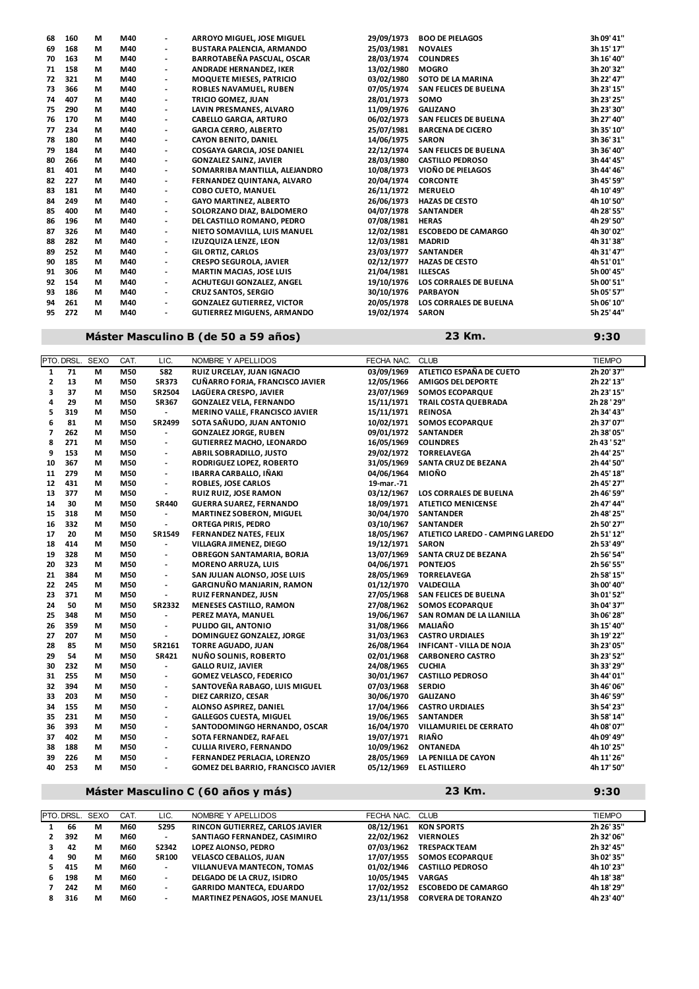| 68 | 160 | М | M40 | $\blacksquare$           | ARROYO MIGUEL, JOSE MIGUEL        | 29/09/1973 | <b>BOO DE PIELAGOS</b>        | 3h 09' 41" |
|----|-----|---|-----|--------------------------|-----------------------------------|------------|-------------------------------|------------|
| 69 | 168 | М | M40 | $\overline{\phantom{a}}$ | <b>BUSTARA PALENCIA, ARMANDO</b>  | 25/03/1981 | <b>NOVALES</b>                | 3h 15' 17" |
| 70 | 163 | М | M40 | $\overline{\phantom{a}}$ | BARROTABEÑA PASCUAL, OSCAR        | 28/03/1974 | <b>COLINDRES</b>              | 3h 16' 40" |
| 71 | 158 | М | M40 | $\overline{\phantom{a}}$ | ANDRADE HERNANDEZ. IKER           | 13/02/1980 | <b>MOGRO</b>                  | 3h 20' 32" |
| 72 | 321 | М | M40 | $\overline{\phantom{a}}$ | <b>MOQUETE MIESES, PATRICIO</b>   | 03/02/1980 | SOTO DE LA MARINA             | 3h 22' 47" |
| 73 | 366 | М | M40 | $\overline{\phantom{0}}$ | ROBLES NAVAMUEL, RUBEN            | 07/05/1974 | <b>SAN FELICES DE BUELNA</b>  | 3h 23' 15" |
| 74 | 407 | М | M40 | $\overline{\phantom{a}}$ | TRICIO GOMEZ, JUAN                | 28/01/1973 | SOMO                          | 3h 23' 25" |
| 75 | 290 | М | M40 | $\overline{\phantom{a}}$ | LAVIN PRESMANES, ALVARO           | 11/09/1976 | <b>GALIZANO</b>               | 3h 23' 30" |
| 76 | 170 | М | M40 | $\overline{\phantom{a}}$ | <b>CABELLO GARCIA, ARTURO</b>     | 06/02/1973 | <b>SAN FELICES DE BUELNA</b>  | 3h 27' 40" |
| 77 | 234 | М | M40 | $\overline{\phantom{a}}$ | <b>GARCIA CERRO. ALBERTO</b>      | 25/07/1981 | <b>BARCENA DE CICERO</b>      | 3h 35' 10" |
| 78 | 180 | М | M40 | $\overline{\phantom{a}}$ | <b>CAYON BENITO, DANIEL</b>       | 14/06/1975 | <b>SARON</b>                  | 3h 36' 31" |
| 79 | 184 | М | M40 | $\overline{\phantom{a}}$ | COSGAYA GARCIA, JOSE DANIEL       | 22/12/1974 | <b>SAN FELICES DE BUELNA</b>  | 3h 36' 40" |
| 80 | 266 | М | M40 | $\overline{\phantom{a}}$ | <b>GONZALEZ SAINZ, JAVIER</b>     | 28/03/1980 | <b>CASTILLO PEDROSO</b>       | 3h 44' 45" |
| 81 | 401 | М | M40 | $\overline{\phantom{a}}$ | SOMARRIBA MANTILLA, ALEJANDRO     | 10/08/1973 | VIOÑO DE PIELAGOS             | 3h 44' 46" |
| 82 | 227 | М | M40 | $\overline{\phantom{a}}$ | FERNANDEZ QUINTANA, ALVARO        | 20/04/1974 | <b>CORCONTE</b>               | 3h 45' 59" |
| 83 | 181 | М | M40 | $\overline{\phantom{a}}$ | <b>COBO CUETO, MANUEL</b>         | 26/11/1972 | <b>MERUELO</b>                | 4h 10' 49" |
| 84 | 249 | М | M40 | $\blacksquare$           | <b>GAYO MARTINEZ, ALBERTO</b>     | 26/06/1973 | <b>HAZAS DE CESTO</b>         | 4h 10' 50" |
| 85 | 400 | М | M40 | $\overline{\phantom{a}}$ | SOLORZANO DIAZ, BALDOMERO         | 04/07/1978 | <b>SANTANDER</b>              | 4h 28' 55" |
| 86 | 196 | М | M40 | $\overline{\phantom{a}}$ | DEL CASTILLO ROMANO, PEDRO        | 07/08/1981 | <b>HERAS</b>                  | 4h 29' 50" |
| 87 | 326 | М | M40 | $\overline{\phantom{a}}$ | NIETO SOMAVILLA, LUIS MANUEL      | 12/02/1981 | <b>ESCOBEDO DE CAMARGO</b>    | 4h 30' 02" |
| 88 | 282 | М | M40 | $\overline{\phantom{a}}$ | IZUZQUIZA LENZE, LEON             | 12/03/1981 | <b>MADRID</b>                 | 4h 31' 38" |
| 89 | 252 | М | M40 | $\overline{\phantom{0}}$ | <b>GIL ORTIZ, CARLOS</b>          | 23/03/1977 | <b>SANTANDER</b>              | 4h 31' 47" |
| 90 | 185 | М | M40 | $\overline{\phantom{a}}$ | <b>CRESPO SEGUROLA, JAVIER</b>    | 02/12/1977 | <b>HAZAS DE CESTO</b>         | 4h 51' 01" |
| 91 | 306 | М | M40 | $\overline{\phantom{a}}$ | <b>MARTIN MACIAS, JOSE LUIS</b>   | 21/04/1981 | <b>ILLESCAS</b>               | 5h 00' 45" |
| 92 | 154 | М | M40 | $\overline{\phantom{a}}$ | ACHUTEGUI GONZALEZ, ANGEL         | 19/10/1976 | <b>LOS CORRALES DE BUELNA</b> | 5h 00' 51" |
| 93 | 186 | М | M40 | $\overline{\phantom{a}}$ | <b>CRUZ SANTOS, SERGIO</b>        | 30/10/1976 | <b>PARBAYON</b>               | 5h 05' 57" |
| 94 | 261 | М | M40 | $\overline{\phantom{a}}$ | <b>GONZALEZ GUTIERREZ, VICTOR</b> | 20/05/1978 | LOS CORRALES DE BUELNA        | 5h 06' 10" |
| 95 | 272 | М | M40 | $\overline{\phantom{a}}$ | <b>GUTIERREZ MIGUENS, ARMANDO</b> | 19/02/1974 | <b>SARON</b>                  | 5h 25' 44" |
|    |     |   |     |                          |                                   |            |                               |            |

### **Máster Masculino B (de 50 a 59 años) 9:30**

**23 Km.**

|                          | PTO. DRSL. | <b>SEXO</b> | CAT. | LIC.                     | NOMBRE Y APELLIDOS                 | FECHA NAC. | <b>CLUB</b>                      | <b>TIEMPO</b> |
|--------------------------|------------|-------------|------|--------------------------|------------------------------------|------------|----------------------------------|---------------|
| $\mathbf{1}$             | 71         | М           | M50  | <b>S82</b>               | RUIZ URCELAY, JUAN IGNACIO         | 03/09/1969 | ATLETICO ESPAÑA DE CUETO         | 2h 20' 37"    |
| 2                        | 13         | М           | M50  | <b>SR373</b>             | CUÑARRO FORJA, FRANCISCO JAVIER    | 12/05/1966 | <b>AMIGOS DEL DEPORTE</b>        | 2h 22' 13"    |
| 3                        | 37         | М           | M50  | SR2504                   | LAGÜERA CRESPO, JAVIER             | 23/07/1969 | <b>SOMOS ECOPARQUE</b>           | 2h 23' 15"    |
| 4                        | 29         | М           | M50  | <b>SR367</b>             | <b>GONZALEZ VELA, FERNANDO</b>     | 15/11/1971 | TRAIL COSTA QUEBRADA             | 2h 28 ' 29"   |
| 5                        | 319        | М           | M50  | $\overline{\phantom{a}}$ | MERINO VALLE, FRANCISCO JAVIER     | 15/11/1971 | <b>REINOSA</b>                   | 2h 34' 43"    |
| 6                        | 81         | М           | M50  | SR2499                   | SOTA SAÑUDO, JUAN ANTONIO          | 10/02/1971 | <b>SOMOS ECOPARQUE</b>           | 2h 37' 07"    |
| $\overline{\phantom{a}}$ | 262        | М           | M50  | $\blacksquare$           | <b>GONZALEZ JORGE, RUBEN</b>       | 09/01/1972 | <b>SANTANDER</b>                 | 2h 38' 05"    |
| 8                        | 271        | М           | M50  | $\overline{\phantom{a}}$ | <b>GUTIERREZ MACHO, LEONARDO</b>   | 16/05/1969 | <b>COLINDRES</b>                 | 2h 43 '52"    |
| 9                        | 153        | М           | M50  | $\overline{\phantom{a}}$ | <b>ABRIL SOBRADILLO, JUSTO</b>     | 29/02/1972 | <b>TORRELAVEGA</b>               | 2h 44' 25"    |
| 10                       | 367        | М           | M50  | $\blacksquare$           | RODRIGUEZ LOPEZ, ROBERTO           | 31/05/1969 | <b>SANTA CRUZ DE BEZANA</b>      | 2h 44' 50"    |
| 11                       | 279        | М           | M50  | $\overline{\phantom{a}}$ | <b>IBARRA CARBALLO, IÑAKI</b>      | 04/06/1964 | <b>MIOÑO</b>                     | 2h 45' 18"    |
| 12                       | 431        | М           | M50  | $\overline{\phantom{a}}$ | <b>ROBLES, JOSE CARLOS</b>         | 19-mar.-71 |                                  | 2h 45' 27"    |
| 13                       | 377        | М           | M50  | $\overline{\phantom{a}}$ | <b>RUIZ RUIZ, JOSE RAMON</b>       | 03/12/1967 | <b>LOS CORRALES DE BUELNA</b>    | 2h 46' 59"    |
| 14                       | 30         | М           | M50  | <b>SR440</b>             | <b>GUERRA SUAREZ, FERNANDO</b>     | 18/09/1971 | <b>ATLETICO MENICENSE</b>        | 2h 47' 44"    |
| 15                       | 318        | М           | M50  | $\overline{\phantom{a}}$ | MARTINEZ SOBERON, MIGUEL           | 30/04/1970 | <b>SANTANDER</b>                 | 2h 48' 25"    |
| 16                       | 332        | М           | M50  | $\overline{\phantom{a}}$ | <b>ORTEGA PIRIS, PEDRO</b>         | 03/10/1967 | <b>SANTANDER</b>                 | 2h 50' 27"    |
| 17                       | 20         | М           | M50  | SR1549                   | <b>FERNANDEZ NATES, FELIX</b>      | 18/05/1967 | ATLETICO LAREDO - CAMPING LAREDO | 2h 51' 12"    |
| 18                       | 414        | М           | M50  | $\blacksquare$           | VILLAGRA JIMENEZ, DIEGO            | 19/12/1971 | <b>SARON</b>                     | 2h 53' 49"    |
| 19                       | 328        | М           | M50  | $\blacksquare$           | OBREGON SANTAMARIA, BORJA          | 13/07/1969 | <b>SANTA CRUZ DE BEZANA</b>      | 2h 56' 54"    |
| 20                       | 323        | М           | M50  | $\overline{\phantom{a}}$ | <b>MORENO ARRUZA, LUIS</b>         | 04/06/1971 | <b>PONTEJOS</b>                  | 2h 56' 55"    |
| 21                       | 384        | M           | M50  | $\overline{\phantom{a}}$ | SAN JULIAN ALONSO, JOSE LUIS       | 28/05/1969 | <b>TORRELAVEGA</b>               | 2h 58' 15"    |
| 22                       | 245        | М           | M50  | $\overline{\phantom{a}}$ | <b>GARCINUÑO MANJARIN, RAMON</b>   | 01/12/1970 | <b>VALDECILLA</b>                | 3h 00' 40"    |
| 23                       | 371        | М           | M50  | $\overline{\phantom{a}}$ | RUIZ FERNANDEZ, JUSN               | 27/05/1968 | SAN FELICES DE BUELNA            | 3h 01' 52"    |
| 24                       | 50         | М           | M50  | <b>SR2332</b>            | <b>MENESES CASTILLO, RAMON</b>     | 27/08/1962 | <b>SOMOS ECOPARQUE</b>           | 3h 04' 37"    |
| 25                       | 348        | М           | M50  | $\overline{\phantom{a}}$ | PEREZ MAYA, MANUEL                 | 19/06/1967 | SAN ROMAN DE LA LLANILLA         | 3h 06' 28"    |
| 26                       | 359        | М           | M50  | $\overline{\phantom{a}}$ | PULIDO GIL, ANTONIO                | 31/08/1966 | <b>MALIAÑO</b>                   | 3h 15' 40"    |
| 27                       | 207        | М           | M50  | $\overline{\phantom{a}}$ | DOMINGUEZ GONZALEZ, JORGE          | 31/03/1963 | <b>CASTRO URDIALES</b>           | 3h 19' 22"    |
| 28                       | 85         | М           | M50  | SR2161                   | <b>TORRE AGUADO, JUAN</b>          | 26/08/1964 | <b>INFICANT - VILLA DE NOJA</b>  | 3h 23' 05"    |
| 29                       | 54         | М           | M50  | <b>SR421</b>             | NUÑO SOLINIS, ROBERTO              | 02/01/1968 | <b>CARBONERO CASTRO</b>          | 3h 23' 52"    |
| 30                       | 232        | М           | M50  | $\blacksquare$           | <b>GALLO RUIZ, JAVIER</b>          | 24/08/1965 | <b>CUCHIA</b>                    | 3h 33' 29"    |
| 31                       | 255        | М           | M50  | $\overline{\phantom{a}}$ | <b>GOMEZ VELASCO, FEDERICO</b>     | 30/01/1967 | <b>CASTILLO PEDROSO</b>          | 3h 44' 01"    |
| 32                       | 394        | М           | M50  | $\overline{\phantom{a}}$ | SANTOVEÑA RABAGO, LUIS MIGUEL      | 07/03/1968 | <b>SERDIO</b>                    | 3h 46' 06"    |
| 33                       | 203        | М           | M50  | $\blacksquare$           | DIEZ CARRIZO, CESAR                | 30/06/1970 | <b>GALIZANO</b>                  | 3h 46' 59"    |
| 34                       | 155        | М           | M50  | $\overline{\phantom{a}}$ | ALONSO ASPIREZ, DANIEL             | 17/04/1966 | <b>CASTRO URDIALES</b>           | 3h 54' 23"    |
| 35                       | 231        | м           | M50  | $\overline{\phantom{a}}$ | <b>GALLEGOS CUESTA, MIGUEL</b>     | 19/06/1965 | <b>SANTANDER</b>                 | 3h 58' 14"    |
| 36                       | 393        | М           | M50  | $\blacksquare$           | SANTODOMINGO HERNANDO, OSCAR       | 16/04/1970 | VILLAMURIEL DE CERRATO           | 4h 08' 07"    |
| 37                       | 402        | М           | M50  | $\overline{\phantom{a}}$ | SOTA FERNANDEZ, RAFAEL             | 19/07/1971 | <b>RIAÑO</b>                     | 4h 09' 49"    |
| 38                       | 188        | М           | M50  | $\overline{\phantom{a}}$ | <b>CULLIA RIVERO, FERNANDO</b>     | 10/09/1962 | <b>ONTANEDA</b>                  | 4h 10' 25"    |
| 39                       | 226        | М           | M50  | $\overline{\phantom{a}}$ | FERNANDEZ PERLACIA, LORENZO        | 28/05/1969 | LA PENILLA DE CAYON              | 4h 11' 26"    |
| 40                       | 253        | М           | M50  | $\blacksquare$           | GOMEZ DEL BARRIO, FRANCISCO JAVIER | 05/12/1969 | <b>EL ASTILLERO</b>              | 4h 17' 50"    |
|                          |            |             |      |                          |                                    |            |                                  |               |

## **Máster Masculino C (60 años y más) 9:30**

**316 M M60 - MARTINEZ PENAGOS, JOSE MANUEL 23/11/1958 CORVERA DE TORANZO 4h 23' 40''**

**23 Km.**

PTO. DRSL. SEXO CAT. LIC. NOMBRE Y APELLIDOS FECHA NAC. CLUB TEMPO **66 M M60 S295 RINCON GUTIERREZ, CARLOS JAVIER 08/12/1961 KON SPORTS 2h 26' 35'' 392 M M60 - SANTIAGO FERNANDEZ, CASIMIRO 22/02/1962 VIERNOLES 2h 32' 06'' 42 M M60 S2342 LOPEZ ALONSO, PEDRO 07/03/1962 TRESPACK TEAM 2h 32' 45'' 90 M M60 SR100 VELASCO CEBALLOS, JUAN 17/07/1955 SOMOS ECOPARQUE 3h 02' 35'' 415 M M60 - VILLANUEVA MANTECON, TOMAS 01/02/1946 CASTILLO PEDROSO 4h 10' 23'' 198 M M60 - DELGADO DE LA CRUZ, ISIDRO 10/05/1945 VARGAS 4h 18' 38'' 242 M M60 - GARRIDO MANTECA, EDUARDO 17/02/1952 ESCOBEDO DE CAMARGO 4h 18' 29''**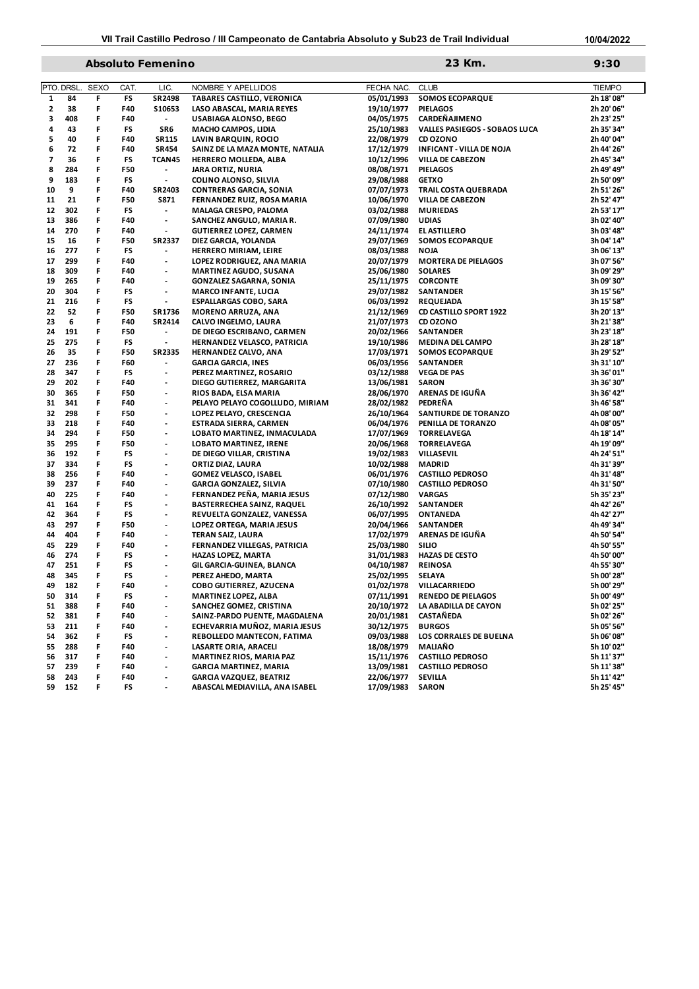## **Absoluto Femenino 9:30**

| 23 Km. |  |
|--------|--|

**10/04/2022**

|              | PTO. DRSL  | <b>SEXO</b> | CAT.       | LIC.                                                 | NOMBRE Y APELLIDOS                                              | FECHA NAC.               | <b>CLUB</b>                       | <b>TIEMPO</b>            |
|--------------|------------|-------------|------------|------------------------------------------------------|-----------------------------------------------------------------|--------------------------|-----------------------------------|--------------------------|
| 1            | 84         | F           | FS         | SR2498                                               | TABARES CASTILLO, VERONICA                                      | 05/01/1993               | <b>SOMOS ECOPARQUE</b>            | 2h 18' 08"               |
| $\mathbf{2}$ | 38         | F           | F40        | S10653                                               | LASO ABASCAL, MARIA REYES                                       | 19/10/1977               | <b>PIELAGOS</b>                   | 2h 20' 06"               |
| 3            | 408        | F           | F40        | $\overline{\phantom{a}}$                             | USABIAGA ALONSO, BEGO                                           | 04/05/1975               | <b>CARDEÑAJIMENO</b>              | 2h 23' 25"               |
| 4            | 43         | F           | FS         | SR6                                                  | <b>MACHO CAMPOS, LIDIA</b>                                      | 25/10/1983               | VALLES PASIEGOS - SOBAOS LUCA     | 2h 35' 34"               |
| 5            | 40         | F           | F40        | <b>SR115</b>                                         | LAVIN BARQUIN, ROCIO                                            | 22/08/1979               | CD OZONO                          | 2h 40' 04"               |
| 6            | 72         | F           | F40        | <b>SR454</b>                                         | SAINZ DE LA MAZA MONTE, NATALIA                                 | 17/12/1979               | <b>INFICANT - VILLA DE NOJA</b>   | 2h 44' 26"               |
| 7            | 36         | F           | FS         | TCAN45                                               | HERRERO MOLLEDA, ALBA                                           | 10/12/1996               | <b>VILLA DE CABEZON</b>           | 2h 45' 34"               |
| 8            | 284        | F           | F50        | $\overline{\phantom{a}}$                             | <b>JARA ORTIZ, NURIA</b>                                        | 08/08/1971               | <b>PIELAGOS</b>                   | 2h 49' 49"               |
| 9            | 183        | F           | FS         | $\overline{\phantom{a}}$                             | COLINO ALONSO, SILVIA                                           | 29/08/1988               | <b>GETXO</b>                      | 2h 50' 09"               |
| 10           | 9          | F           | F40        | SR2403                                               | <b>CONTRERAS GARCIA, SONIA</b>                                  | 07/07/1973               | TRAIL COSTA QUEBRADA              | 2h 51' 26"               |
| 11           | 21         | F           | F50        | <b>S871</b>                                          | FERNANDEZ RUIZ, ROSA MARIA                                      | 10/06/1970               | <b>VILLA DE CABEZON</b>           | 2h 52' 47"               |
| 12           | 302        | F           | FS         | $\blacksquare$                                       | <b>MALAGA CRESPO, PALOMA</b>                                    | 03/02/1988               | <b>MURIEDAS</b>                   | 2h 53' 17"               |
| 13           | 386        | F           | F40        | $\overline{\phantom{a}}$                             | SANCHEZ ANGULO, MARIA R.                                        | 07/09/1980               | <b>UDIAS</b>                      | 3h 02' 40"               |
| 14           | 270        | F           | F40        | $\blacksquare$                                       | <b>GUTIERREZ LOPEZ, CARMEN</b>                                  | 24/11/1974               | <b>EL ASTILLERO</b>               | 3h 03' 48"               |
| 15           | 16         | F           | F50        | SR2337                                               | DIEZ GARCIA, YOLANDA                                            | 29/07/1969               | <b>SOMOS ECOPARQUE</b>            | 3h 04' 14"               |
| 16           | 277        | F           | FS         | $\overline{\phantom{a}}$                             | <b>HERRERO MIRIAM, LEIRE</b>                                    | 08/03/1988               | <b>NOJA</b>                       | 3h 06' 13"               |
| 17           | 299        | F           | F40        | $\overline{\phantom{a}}$                             | LOPEZ RODRIGUEZ, ANA MARIA                                      | 20/07/1979               | <b>MORTERA DE PIELAGOS</b>        | 3h 07' 56"               |
| 18           | 309        | F           | F40        | $\overline{\phantom{a}}$                             | <b>MARTINEZ AGUDO, SUSANA</b>                                   | 25/06/1980               | <b>SOLARES</b>                    | 3h 09' 29"               |
| 19           | 265        | F           | F40        | $\blacksquare$                                       | <b>GONZALEZ SAGARNA, SONIA</b>                                  | 25/11/1975               | <b>CORCONTE</b>                   | 3h 09' 30"               |
| 20           | 304        | F           | FS         | $\overline{\phantom{a}}$                             | <b>MARCO INFANTE, LUCIA</b>                                     | 29/07/1982               | <b>SANTANDER</b>                  | 3h 15' 56"               |
| 21           | 216        | F           | FS         | $\blacksquare$                                       | <b>ESPALLARGAS COBO, SARA</b>                                   | 06/03/1992               | <b>REQUEJADA</b>                  | 3h 15' 58"               |
| 22           | 52         | F           | F50        | SR1736                                               | MORENO ARRUZA, ANA                                              | 21/12/1969               | <b>CD CASTILLO SPORT 1922</b>     | 3h 20' 13"               |
| 23           | 6          | F           | F40        | SR2414                                               | CALVO INGELMO, LAURA                                            | 21/07/1973               | CD OZONO                          | 3h 21' 38"               |
| 24           | 191        | F           | F50        | $\overline{\phantom{a}}$                             | DE DIEGO ESCRIBANO, CARMEN                                      | 20/02/1966               | <b>SANTANDER</b>                  | 3h 23' 18"               |
| 25           | 275        | F           | FS         | $\blacksquare$                                       | HERNANDEZ VELASCO, PATRICIA                                     | 19/10/1986               | <b>MEDINA DEL CAMPO</b>           | 3h 28' 18"               |
| 26           | 35         | F           | F50        | SR2335                                               | HERNANDEZ CALVO, ANA                                            | 17/03/1971               | <b>SOMOS ECOPARQUE</b>            | 3h 29' 52"               |
| 27           | 236        | F           | F60        | $\blacksquare$                                       | <b>GARCIA GARCIA, INES</b>                                      | 06/03/1956               | <b>SANTANDER</b>                  | 3h 31' 10"               |
| 28           | 347        | F           | FS         | $\overline{\phantom{a}}$                             | PEREZ MARTINEZ, ROSARIO                                         | 03/12/1988               | <b>VEGA DE PAS</b>                | 3h 36' 01"               |
| 29           | 202        | F           | F40        | $\overline{\phantom{a}}$                             | DIEGO GUTIERREZ, MARGARITA                                      | 13/06/1981               | <b>SARON</b>                      | 3h 36' 30"               |
| 30           | 365        | F           | F50        | $\overline{\phantom{a}}$                             | RIOS BADA, ELSA MARIA                                           | 28/06/1970               | ARENAS DE IGUÑA                   | 3h 36' 42"               |
| 31           | 341        | F           | F40        | $\overline{\phantom{a}}$                             | PELAYO PELAYO COGOLLUDO, MIRIAM                                 | 28/02/1982               | PEDREÑA                           | 3h 46' 58"               |
| 32           | 298        | F           | F50        | $\blacksquare$                                       | LOPEZ PELAYO, CRESCENCIA                                        | 26/10/1964               | <b>SANTIURDE DE TORANZO</b>       | 4h 08' 00"               |
| 33           | 218        | F           | F40        | $\overline{\phantom{a}}$                             | <b>ESTRADA SIERRA, CARMEN</b>                                   | 06/04/1976               | PENILLA DE TORANZO                | 4h 08' 05"               |
| 34           | 294        | F           | F50        | $\blacksquare$                                       | LOBATO MARTINEZ, INMACULADA                                     | 17/07/1969               | <b>TORRELAVEGA</b>                | 4h 18' 14"               |
| 35           | 295        | F           | F50        | $\blacksquare$                                       | <b>LOBATO MARTINEZ, IRENE</b>                                   | 20/06/1968               | <b>TORRELAVEGA</b>                | 4h 19' 09"               |
| 36           | 192        | F           | FS         | $\overline{\phantom{a}}$                             | DE DIEGO VILLAR, CRISTINA                                       | 19/02/1983               | VILLASEVIL                        | 4h 24' 51"               |
| 37           | 334        | F<br>F      | FS         | $\overline{\phantom{a}}$                             | ORTIZ DIAZ, LAURA                                               | 10/02/1988               | <b>MADRID</b>                     | 4h 31' 39"               |
| 38<br>39     | 256<br>237 | F           | F40<br>F40 | $\overline{\phantom{a}}$<br>$\overline{\phantom{a}}$ | <b>GOMEZ VELASCO, ISABEL</b><br><b>GARCIA GONZALEZ, SILVIA</b>  | 06/01/1976               | <b>CASTILLO PEDROSO</b>           | 4h 31' 48"               |
| 40           | 225        | F           | F40        | $\overline{\phantom{a}}$                             |                                                                 | 07/10/1980               | <b>CASTILLO PEDROSO</b>           | 4h 31' 50"               |
| 41           | 164        | F           | FS         | $\overline{\phantom{a}}$                             | FERNANDEZ PEÑA, MARIA JESUS                                     | 07/12/1980               | <b>VARGAS</b><br><b>SANTANDER</b> | 5h 35' 23"               |
| 42           | 364        | F           | FS         | $\overline{\phantom{a}}$                             | <b>BASTERRECHEA SAINZ, RAQUEL</b><br>REVUELTA GONZALEZ, VANESSA | 26/10/1992<br>06/07/1995 | <b>ONTANEDA</b>                   | 4h 42' 26"<br>4h 42' 27" |
| 43           | 297        | F           | F50        | $\overline{\phantom{a}}$                             | LOPEZ ORTEGA, MARIA JESUS                                       | 20/04/1966               | <b>SANTANDER</b>                  | 4h 49' 34"               |
| 44           | 404        | F           | F40        | $\blacksquare$                                       | <b>TERAN SAIZ, LAURA</b>                                        | 17/02/1979               | ARENAS DE IGUÑA                   | 4h 50' 54"               |
| 45           | 229        | F           | F40        | $\overline{\phantom{a}}$                             | FERNANDEZ VILLEGAS, PATRICIA                                    | 25/03/1980               | <b>SILIO</b>                      | 4h 50' 55"               |
| 46           | 274        | F           | FS         | $\overline{\phantom{a}}$                             | HAZAS LOPEZ, MARTA                                              | 31/01/1983               | <b>HAZAS DE CESTO</b>             | 4h 50' 00"               |
| 47           | 251        | F           | FS         | $\overline{\phantom{a}}$                             | GIL GARCIA-GUINEA, BLANCA                                       | 04/10/1987               | <b>REINOSA</b>                    | 4h 55' 30"               |
| 48           | 345        | F           | FS         | $\overline{\phantom{a}}$                             | PEREZ AHEDO, MARTA                                              | 25/02/1995               | <b>SELAYA</b>                     | 5h 00' 28"               |
| 49           | 182        | F           | F40        | $\overline{\phantom{a}}$                             | COBO GUTIERREZ, AZUCENA                                         | 01/02/1978               | VILLACARRIEDO                     | 5h 00' 29"               |
| 50           | 314        | F           | FS         |                                                      | <b>MARTINEZ LOPEZ, ALBA</b>                                     | 07/11/1991               | <b>RENEDO DE PIELAGOS</b>         | 5h 00' 49"               |
| 51           | 388        | F           | F40        | $\overline{\phantom{a}}$                             | SANCHEZ GOMEZ, CRISTINA                                         | 20/10/1972               | LA ABADILLA DE CAYON              | 5h 02' 25"               |
| 52           | 381        | F           | F40        | $\overline{\phantom{a}}$                             | SAINZ-PARDO PUENTE, MAGDALENA                                   | 20/01/1981               | CASTAÑEDA                         | 5h 02' 26"               |
| 53           | 211        | F           | F40        |                                                      | ECHEVARRIA MUÑOZ, MARIA JESUS                                   | 30/12/1975               | <b>BURGOS</b>                     | 5h 05' 56"               |
| 54           | 362        | F           | FS         | $\overline{\phantom{a}}$                             | REBOLLEDO MANTECON, FATIMA                                      | 09/03/1988               | LOS CORRALES DE BUELNA            | 5h 06' 08"               |
| 55           | 288        | F           | F40        | $\blacksquare$                                       | LASARTE ORIA, ARACELI                                           | 18/08/1979               | MALIAÑO                           | 5h 10' 02"               |
| 56           | 317        | F.          | F40        | $\overline{\phantom{a}}$                             | <b>MARTINEZ RIOS, MARIA PAZ</b>                                 | 15/11/1976               | <b>CASTILLO PEDROSO</b>           | 5h 11' 37"               |
| 57           | 239        | F           | F40        | $\overline{\phantom{a}}$                             | <b>GARCIA MARTINEZ, MARIA</b>                                   | 13/09/1981               | <b>CASTILLO PEDROSO</b>           | 5h 11' 38"               |
| 58           | 243        | F           | F40        | $\overline{\phantom{a}}$                             | <b>GARCIA VAZQUEZ, BEATRIZ</b>                                  | 22/06/1977               | <b>SEVILLA</b>                    | 5h 11' 42"               |
| 59           | 152        | F           | FS         | $\overline{\phantom{a}}$                             | ABASCAL MEDIAVILLA, ANA ISABEL                                  | 17/09/1983               | <b>SARON</b>                      | 5h 25' 45"               |
|              |            |             |            |                                                      |                                                                 |                          |                                   |                          |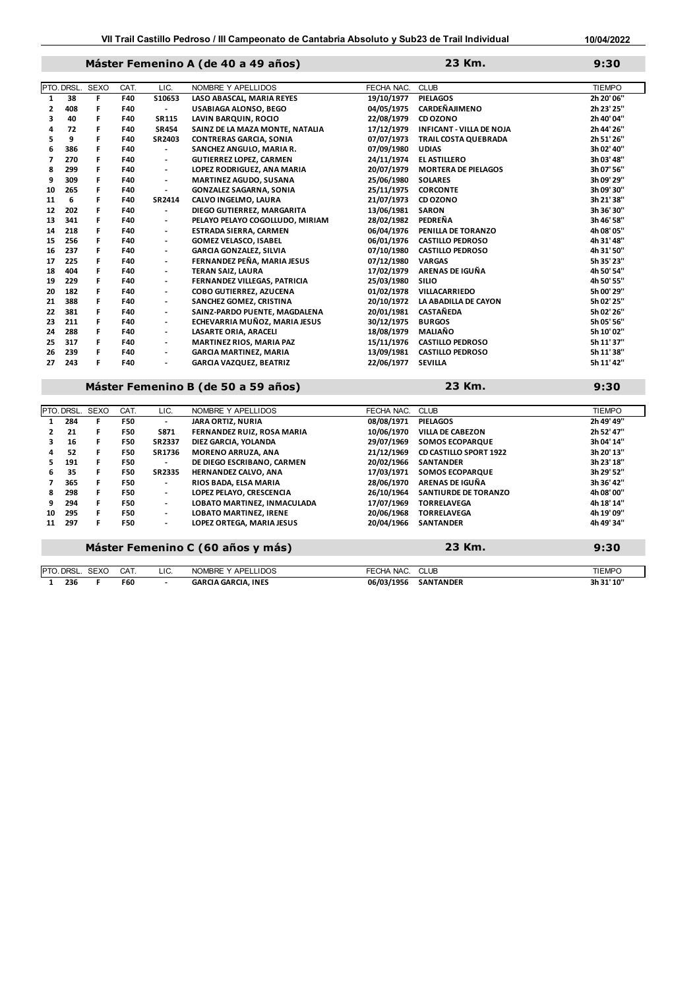# **Máster Femenino A (de 40 a 49 años) 9:30**

|    | PTO. DRSL. | <b>SEXO</b> | CAT. | LIC.                         | NOMBRE Y APELLIDOS                  | FECHA NAC. | <b>CLUB</b>                     | <b>TIEMPO</b> |
|----|------------|-------------|------|------------------------------|-------------------------------------|------------|---------------------------------|---------------|
| 1  | 38         | F.          | F40  | S10653                       | LASO ABASCAL, MARIA REYES           | 19/10/1977 | <b>PIELAGOS</b>                 | 2h 20' 06"    |
| 2  | 408        | F           | F40  | $\blacksquare$               | USABIAGA ALONSO, BEGO               | 04/05/1975 | <b>CARDEÑAJIMENO</b>            | 2h 23' 25"    |
| 3  | 40         | F           | F40  | <b>SR115</b>                 | LAVIN BARQUIN, ROCIO                | 22/08/1979 | CD OZONO                        | 2h 40' 04"    |
| 4  | 72         | F           | F40  | <b>SR454</b>                 | SAINZ DE LA MAZA MONTE, NATALIA     | 17/12/1979 | <b>INFICANT - VILLA DE NOJA</b> | 2h 44' 26"    |
| 5  | 9          | F           | F40  | SR2403                       | <b>CONTRERAS GARCIA, SONIA</b>      | 07/07/1973 | <b>TRAIL COSTA QUEBRADA</b>     | 2h 51' 26"    |
| 6  | 386        | F           | F40  | $\overline{\phantom{a}}$     | SANCHEZ ANGULO, MARIA R.            | 07/09/1980 | <b>UDIAS</b>                    | 3h 02' 40"    |
| 7  | 270        | F.          | F40  | $\overline{\phantom{a}}$     | <b>GUTIERREZ LOPEZ, CARMEN</b>      | 24/11/1974 | <b>EL ASTILLERO</b>             | 3h 03' 48"    |
| 8  | 299        | F           | F40  | $\overline{\phantom{a}}$     | LOPEZ RODRIGUEZ, ANA MARIA          | 20/07/1979 | <b>MORTERA DE PIELAGOS</b>      | 3h 07' 56"    |
| 9  | 309        | F           | F40  | $\overline{\phantom{a}}$     | <b>MARTINEZ AGUDO, SUSANA</b>       | 25/06/1980 | <b>SOLARES</b>                  | 3h 09' 29"    |
| 10 | 265        | F           | F40  | $\overline{\phantom{0}}$     | <b>GONZALEZ SAGARNA, SONIA</b>      | 25/11/1975 | <b>CORCONTE</b>                 | 3h 09' 30"    |
| 11 | 6          | F           | F40  | SR2414                       | CALVO INGELMO, LAURA                | 21/07/1973 | CD OZONO                        | 3h 21' 38"    |
| 12 | 202        | F           | F40  | $\overline{\phantom{a}}$     | DIEGO GUTIERREZ, MARGARITA          | 13/06/1981 | <b>SARON</b>                    | 3h 36' 30"    |
| 13 | 341        | F           | F40  | $\overline{\phantom{a}}$     | PELAYO PELAYO COGOLLUDO, MIRIAM     | 28/02/1982 | PEDREÑA                         | 3h 46' 58"    |
| 14 | 218        | F           | F40  | $\overline{\phantom{a}}$     | <b>ESTRADA SIERRA, CARMEN</b>       | 06/04/1976 | PENILLA DE TORANZO              | 4h 08' 05"    |
| 15 | 256        | F           | F40  | $\overline{\phantom{a}}$     | <b>GOMEZ VELASCO, ISABEL</b>        | 06/01/1976 | <b>CASTILLO PEDROSO</b>         | 4h 31' 48"    |
| 16 | 237        | F           | F40  | $\blacksquare$               | <b>GARCIA GONZALEZ, SILVIA</b>      | 07/10/1980 | <b>CASTILLO PEDROSO</b>         | 4h 31' 50"    |
| 17 | 225        | F           | F40  | $\overline{\phantom{a}}$     | FERNANDEZ PEÑA, MARIA JESUS         | 07/12/1980 | <b>VARGAS</b>                   | 5h 35' 23"    |
| 18 | 404        | F.          | F40  | $\blacksquare$               | TERAN SAIZ. LAURA                   | 17/02/1979 | ARENAS DE IGUÑA                 | 4h 50' 54"    |
| 19 | 229        | F           | F40  | $\overline{\phantom{a}}$     | <b>FERNANDEZ VILLEGAS, PATRICIA</b> | 25/03/1980 | <b>SILIO</b>                    | 4h 50' 55"    |
| 20 | 182        | F           | F40  | $\overline{\phantom{a}}$     | COBO GUTIERREZ, AZUCENA             | 01/02/1978 | VILLACARRIEDO                   | 5h 00' 29"    |
| 21 | 388        | F           | F40  | $\overline{\phantom{a}}$     | SANCHEZ GOMEZ, CRISTINA             | 20/10/1972 | LA ABADILLA DE CAYON            | 5h 02' 25"    |
| 22 | 381        | F           | F40  | $\overline{\phantom{a}}$     | SAINZ-PARDO PUENTE, MAGDALENA       | 20/01/1981 | <b>CASTAÑEDA</b>                | 5h 02' 26"    |
| 23 | 211        | F           | F40  | $\overline{\phantom{a}}$     | ECHEVARRIA MUÑOZ, MARIA JESUS       | 30/12/1975 | <b>BURGOS</b>                   | 5h 05' 56"    |
| 24 | 288        | F           | F40  | $\overline{\phantom{a}}$     | LASARTE ORIA, ARACELI               | 18/08/1979 | <b>MALIAÑO</b>                  | 5h 10' 02"    |
| 25 | 317        | F           | F40  | $\overline{\phantom{a}}$     | <b>MARTINEZ RIOS, MARIA PAZ</b>     | 15/11/1976 | <b>CASTILLO PEDROSO</b>         | 5h 11' 37"    |
| 26 | 239        | F           | F40  | $\overline{\phantom{a}}$     | <b>GARCIA MARTINEZ, MARIA</b>       | 13/09/1981 | <b>CASTILLO PEDROSO</b>         | 5h 11' 38"    |
| 27 | 243        | F           | F40  | $\qquad \qquad \blacksquare$ | <b>GARCIA VAZQUEZ, BEATRIZ</b>      | 22/06/1977 | <b>SEVILLA</b>                  | 5h 11' 42"    |
|    |            |             |      |                              |                                     |            |                                 |               |

**Máster Femenino B (de 50 a 59 años) 9:30**

**23 Km.**

**23 Km.**

|                          |     | <b>PTO. DRSL. SEXO</b> | CAT.       | LIC.                     | NOMBRE Y APELLIDOS                | FECHA NAC. | <b>CLUB</b>                   | <b>TIEMPO</b> |
|--------------------------|-----|------------------------|------------|--------------------------|-----------------------------------|------------|-------------------------------|---------------|
|                          | 284 | F                      | <b>F50</b> | $\overline{\phantom{a}}$ | <b>JARA ORTIZ, NURIA</b>          | 08/08/1971 | <b>PIELAGOS</b>               | 2h 49' 49"    |
| $\overline{\phantom{a}}$ | 21  | F.                     | F50        | S871                     | FERNANDEZ RUIZ. ROSA MARIA        | 10/06/1970 | <b>VILLA DE CABEZON</b>       | 2h 52' 47"    |
| 3                        | 16  | F                      | F50        | <b>SR2337</b>            | DIEZ GARCIA, YOLANDA              | 29/07/1969 | <b>SOMOS ECOPARQUE</b>        | 3h 04' 14"    |
| 4                        | 52  | F                      | <b>F50</b> | SR1736                   | <b>MORENO ARRUZA, ANA</b>         | 21/12/1969 | <b>CD CASTILLO SPORT 1922</b> | 3h 20' 13"    |
| 5                        | 191 | F                      | <b>F50</b> | $\blacksquare$           | DE DIEGO ESCRIBANO, CARMEN        | 20/02/1966 | <b>SANTANDER</b>              | 3h 23' 18"    |
| 6                        | 35  | F                      | <b>F50</b> | <b>SR2335</b>            | <b>HERNANDEZ CALVO, ANA</b>       | 17/03/1971 | <b>SOMOS ECOPARQUE</b>        | 3h 29' 52"    |
|                          | 365 | F                      | <b>F50</b> | $\overline{\phantom{a}}$ | RIOS BADA, ELSA MARIA             | 28/06/1970 | ARENAS DE IGUÑA               | 3h 36' 42"    |
| 8                        | 298 | F                      | <b>F50</b> | $\blacksquare$           | LOPEZ PELAYO, CRESCENCIA          | 26/10/1964 | <b>SANTIURDE DE TORANZO</b>   | 4h 08' 00"    |
| 9                        | 294 | F.                     | <b>F50</b> | $\blacksquare$           | LOBATO MARTINEZ, INMACULADA       | 17/07/1969 | <b>TORRELAVEGA</b>            | 4h 18' 14"    |
| 10                       | 295 | F                      | <b>F50</b> | $\overline{\phantom{a}}$ | <b>LOBATO MARTINEZ. IRENE</b>     | 20/06/1968 | <b>TORRELAVEGA</b>            | 4h 19' 09"    |
| 11                       | 297 | F                      | <b>F50</b> | $\overline{\phantom{a}}$ | LOPEZ ORTEGA. MARIA JESUS         | 20/04/1966 | <b>SANTANDER</b>              | 4h 49' 34"    |
|                          |     |                        |            |                          | Máster Femenino C (60 años y más) |            | 23 Km.                        | 9:30          |
| <b>PTO DRSI</b>          |     | <b>SEXO</b>            | <b>CAT</b> | 11C                      | NOMBRE Y APELLIDOS                | FECHA NAC  | C1IB                          | TIEMPO        |

| <b>DRSL</b><br>IPTO. | <b>SEXO</b> | CA <sub>1</sub>   | LIC | NOMBRE Y APEL<br><b>LIDOS</b>        | CLUB<br>FECHA NAC.             | <b>TIEMPC</b> |
|----------------------|-------------|-------------------|-----|--------------------------------------|--------------------------------|---------------|
| 236<br>__            |             | <b>F60</b><br>. . |     | <b>INES</b><br>GARCIA GARCIA.<br>___ | 06/03/1956<br><b>SANTANDER</b> | 3h 31' 10"    |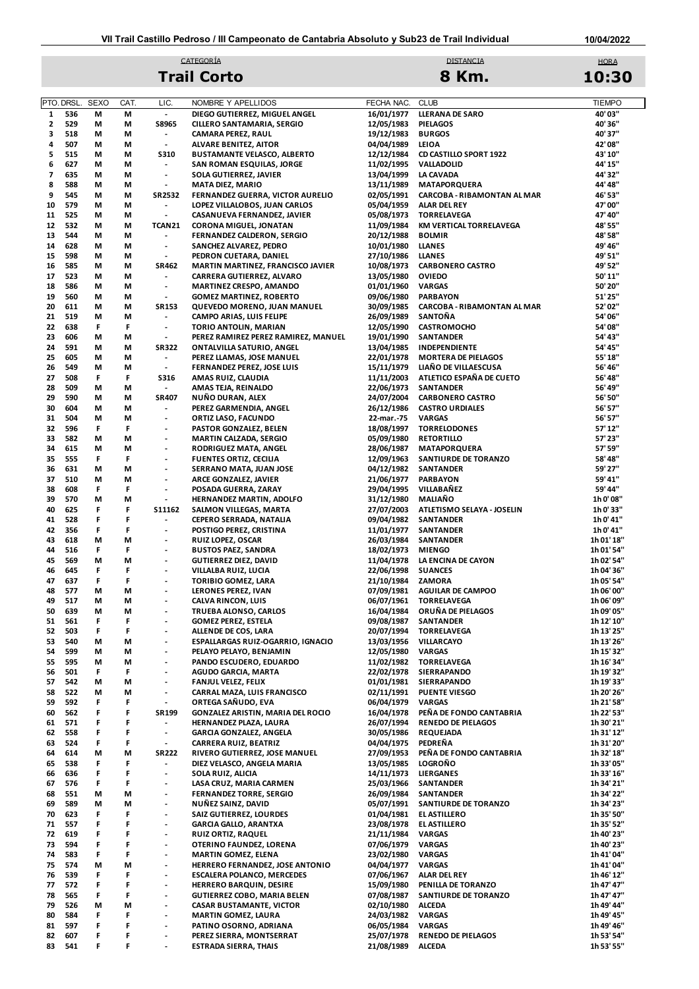#### **10/04/2022**

# **CATEGORÍA** DISTANCIA DE L'ANGLIA DE L'ANGLIA DE L'ANGLIA DE L'ANGLIA DE L'ANGLIA DE L'ANGLIA DE L'ANGLIA DE L'A **Trail Corto 8 Km.**

HORA **10:30**

|    | PTO. DRSL. | <b>SEXO</b> | CAT. | LIC.                                                 | NOMBRE Y APELLIDOS                  | FECHA NAC. | <b>CLUB</b>                           | <b>TIEMPO</b> |
|----|------------|-------------|------|------------------------------------------------------|-------------------------------------|------------|---------------------------------------|---------------|
| 1  | 536        | М           | M    | $\overline{\phantom{a}}$                             | DIEGO GUTIERREZ, MIGUEL ANGEL       | 16/01/1977 | <b>LLERANA DE SARO</b>                | 40'03"        |
| 2  | 529        | М           | М    | <b>S8965</b>                                         | CILLERO SANTAMARIA, SERGIO          | 12/05/1983 | <b>PIELAGOS</b>                       | 40'36"        |
| з  | 518        | М           | М    | $\blacksquare$                                       | CAMARA PEREZ, RAUL                  | 19/12/1983 | <b>BURGOS</b>                         | 40'37"        |
| 4  | 507        | М           | М    | $\overline{\phantom{a}}$                             | <b>ALVARE BENITEZ, AITOR</b>        | 04/04/1989 | LEIOA                                 | 42'08"        |
| 5  | 515        | М           | М    | <b>S310</b>                                          | <b>BUSTAMANTE VELASCO, ALBERTO</b>  | 12/12/1984 | <b>CD CASTILLO SPORT 1922</b>         | 43' 10"       |
| 6  | 627        | М           | М    | $\overline{\phantom{a}}$                             | SAN ROMAN ESQUILAS, JORGE           | 11/02/1995 | VALLADOLID                            | 44' 15"       |
| 7  | 635        | М           | М    | $\overline{\phantom{a}}$                             | SOLA GUTIERREZ, JAVIER              | 13/04/1999 | LA CAVADA                             | 44' 32"       |
|    |            |             |      |                                                      |                                     |            |                                       |               |
| 8  | 588        | М           | M    | $\overline{\phantom{a}}$                             | MATA DIEZ, MARIO                    | 13/11/1989 | <b>MATAPORQUERA</b>                   | 44' 48"       |
| 9  | 545        | М           | М    | SR2532                                               | FERNANDEZ GUERRA, VICTOR AURELIO    | 02/05/1991 | CARCOBA - RIBAMONTAN AL MAR           | 46' 53"       |
| 10 | 579        | М           | М    | $\overline{\phantom{a}}$                             | LOPEZ VILLALOBOS, JUAN CARLOS       | 05/04/1959 | <b>ALAR DEL REY</b>                   | 47'00"        |
| 11 | 525        | М           | М    | $\overline{\phantom{a}}$                             | CASANUEVA FERNANDEZ, JAVIER         | 05/08/1973 | <b>TORRELAVEGA</b>                    | 47' 40"       |
| 12 | 532        | М           | М    | TCAN21                                               | <b>CORONA MIGUEL, JONATAN</b>       | 11/09/1984 | KM VERTICAL TORRELAVEGA               | 48' 55"       |
| 13 | 544        | М           | М    | $\overline{\phantom{a}}$                             | FERNANDEZ CALDERON, SERGIO          | 20/12/1988 | <b>BOLMIR</b>                         | 48' 58"       |
| 14 | 628        | м           | М    | $\overline{a}$                                       | SANCHEZ ALVAREZ, PEDRO              | 10/01/1980 | <b>LLANES</b>                         | 49' 46"       |
| 15 | 598        | М           | М    | $\overline{\phantom{a}}$                             | PEDRON CUETARA, DANIEL              | 27/10/1986 | <b>LLANES</b>                         | 49' 51"       |
| 16 | 585        | М           | М    | SR462                                                | MARTIN MARTINEZ, FRANCISCO JAVIER   | 10/08/1973 | <b>CARBONERO CASTRO</b>               | 49' 52"       |
| 17 | 523        | М           | M    | $\overline{\phantom{a}}$                             | CARRERA GUTIERREZ, ALVARO           | 13/05/1980 | <b>OVIEDO</b>                         | 50'11"        |
|    |            |             |      |                                                      |                                     |            |                                       |               |
| 18 | 586        | М           | М    | $\overline{\phantom{a}}$                             | <b>MARTINEZ CRESPO, AMANDO</b>      | 01/01/1960 | <b>VARGAS</b>                         | 50' 20"       |
| 19 | 560        | М           | М    | $\overline{\phantom{a}}$                             | <b>GOMEZ MARTINEZ, ROBERTO</b>      | 09/06/1980 | <b>PARBAYON</b>                       | 51'25"        |
| 20 | 611        | М           | М    | SR153                                                | QUEVEDO MORENO, JUAN MANUEL         | 30/09/1985 | CARCOBA - RIBAMONTAN AL MAR           | 52'02"        |
| 21 | 519        | м           | М    | $\overline{\phantom{a}}$                             | CAMPO ARIAS, LUIS FELIPE            | 26/09/1989 | SANTOÑA                               | 54'06"        |
| 22 | 638        | F           | F    | $\overline{\phantom{a}}$                             | TORIO ANTOLIN, MARIAN               | 12/05/1990 | <b>CASTROMOCHO</b>                    | 54'08"        |
| 23 | 606        | М           | М    | $\overline{\phantom{a}}$                             | PEREZ RAMIREZ PEREZ RAMIREZ, MANUEL | 19/01/1990 | <b>SANTANDER</b>                      | 54' 43"       |
| 24 | 591        | М           | М    | <b>SR322</b>                                         | ONTALVILLA SATURIO, ANGEL           | 13/04/1985 | INDEPENDIENTE                         | 54' 45"       |
| 25 | 605        | М           | M    | $\overline{\phantom{a}}$                             | PEREZ LLAMAS, JOSE MANUEL           | 22/01/1978 | <b>MORTERA DE PIELAGOS</b>            | 55'18"        |
| 26 | 549        | м           | М    | $\overline{\phantom{a}}$                             | FERNANDEZ PEREZ, JOSE LUIS          | 15/11/1979 | LIAÑO DE VILLAESCUSA                  | 56' 46"       |
|    | 508        | F           | F    |                                                      |                                     |            | ATLETICO ESPAÑA DE CUETO              |               |
| 27 |            |             |      | <b>S316</b>                                          | AMAS RUIZ, CLAUDIA                  | 11/11/2003 |                                       | 56'48"        |
| 28 | 509        | М           | М    | $\blacksquare$                                       | AMAS TEJA, REINALDO                 | 22/06/1973 | <b>SANTANDER</b>                      | 56'49"        |
| 29 | 590        | М           | М    | <b>SR407</b>                                         | NUÑO DURAN, ALEX                    | 24/07/2004 | <b>CARBONERO CASTRO</b>               | 56' 50"       |
| 30 | 604        | м           | М    | $\overline{\phantom{a}}$                             | PEREZ GARMENDIA, ANGEL              | 26/12/1986 | <b>CASTRO URDIALES</b>                | 56' 57"       |
| 31 | 504        | М           | М    | $\overline{\phantom{a}}$                             | ORTIZ LASO, FACUNDO                 | 22-mar.-75 | <b>VARGAS</b>                         | 56' 57"       |
| 32 | 596        | F           | F    | $\qquad \qquad \blacksquare$                         | PASTOR GONZALEZ, BELEN              | 18/08/1997 | <b>TORRELODONES</b>                   | 57' 12"       |
| 33 | 582        | М           | М    | $\overline{\phantom{a}}$                             | <b>MARTIN CALZADA, SERGIO</b>       | 05/09/1980 | <b>RETORTILLO</b>                     | 57' 23"       |
| 34 | 615        | М           | М    | $\overline{\phantom{a}}$                             | RODRIGUEZ MATA, ANGEL               | 28/06/1987 | <b>MATAPORQUERA</b>                   | 57' 59"       |
| 35 | 555        | F           | F    | $\qquad \qquad \blacksquare$                         | <b>FUENTES ORTIZ, CECILIA</b>       | 12/09/1963 | SANTIURDE DE TORANZO                  | 58' 48"       |
| 36 | 631        | М           | М    | $\overline{\phantom{a}}$                             | SERRANO MATA, JUAN JOSE             | 04/12/1982 | SANTANDER                             | 59' 27"       |
| 37 | 510        | М           | М    | $\overline{\phantom{a}}$                             | ARCE GONZALEZ, JAVIER               | 21/06/1977 | <b>PARBAYON</b>                       | 59' 41"       |
|    |            |             |      |                                                      |                                     |            |                                       |               |
| 38 | 608        | F           | F    | $\overline{\phantom{a}}$                             | POSADA GUERRA, ZARAY                | 29/04/1995 | VILLABAÑEZ                            | 59' 44"       |
| 39 | 570        | М           | М    | $\overline{a}$                                       | <b>HERNANDEZ MARTIN, ADOLFO</b>     | 31/12/1980 | <b>MALIAÑO</b>                        | 1h 0' 08"     |
| 40 | 625        | F           | F    | S11162                                               | SALMON VILLEGAS, MARTA              | 27/07/2003 | ATLETISMO SELAYA - JOSELIN            | 1h 0'33"      |
| 41 | 528        | F           | F    | $\blacksquare$                                       | CEPERO SERRADA, NATALIA             | 09/04/1982 | <b>SANTANDER</b>                      | 1h 0' 41"     |
| 42 | 356        | F           | F    | $\overline{a}$                                       | POSTIGO PEREZ, CRISTINA             | 11/01/1977 | <b>SANTANDER</b>                      | 1h 0' 41"     |
| 43 | 618        | М           | М    | $\qquad \qquad \blacksquare$                         | <b>RUIZ LOPEZ, OSCAR</b>            | 26/03/1984 | SANTANDER                             | 1h 01' 18"    |
| 44 | 516        | F           | F    | $\qquad \qquad \blacksquare$                         | <b>BUSTOS PAEZ, SANDRA</b>          | 18/02/1973 | <b>MIENGO</b>                         | 1h 01' 54"    |
| 45 | 569        | М           | М    | $\overline{\phantom{a}}$                             | <b>GUTIERREZ DIEZ, DAVID</b>        | 11/04/1978 | LA ENCINA DE CAYON                    | 1h 02' 54"    |
| 46 | 645        | F           | F    | $\overline{a}$                                       | VILLALBA RUIZ, LUCIA                | 22/06/1998 | <b>SUANCES</b>                        | 1h 04' 36"    |
| 47 | 637        | F           | F    | $\overline{\phantom{a}}$                             | <b>TORIBIO GOMEZ, LARA</b>          | 21/10/1984 | <b>ZAMORA</b>                         | 1h 05' 54"    |
|    |            |             |      |                                                      |                                     |            |                                       |               |
| 48 | 577        | М           | М    | $\qquad \qquad \blacksquare$                         | LERONES PEREZ, IVAN                 | 07/09/1981 | <b>AGUILAR DE CAMPOO</b>              | 1h 06' 00"    |
| 49 | 517        | М           | М    | $\overline{\phantom{a}}$                             | CALVA RINCON, LUIS                  | 06/07/1961 | <b>TORRELAVEGA</b>                    | 1h 06' 09"    |
| 50 | 639        | М           | M    | $\overline{\phantom{a}}$                             | TRUEBA ALONSO, CARLOS               | 16/04/1984 | ORUÑA DE PIELAGOS                     | 1h 09' 05"    |
| 51 | 561        | F           | F    | $\overline{a}$                                       | <b>GOMEZ PEREZ, ESTELA</b>          | 09/08/1987 | SANTANDER                             | 1h 12' 10"    |
| 52 | 503        | F           | F    | $\overline{\phantom{a}}$                             | ALLENDE DE COS, LARA                | 20/07/1994 | <b>TORRELAVEGA</b>                    | 1h 13' 25"    |
| 53 | 540        | М           | М    | $\overline{a}$                                       | ESPALLARGAS RUIZ-OGARRIO, IGNACIO   | 13/03/1956 | <b>VILLARCAYO</b>                     | 1h 13' 26"    |
| 54 | 599        | М           | М    | $\overline{\phantom{a}}$                             | PELAYO PELAYO, BENJAMIN             | 12/05/1980 | <b>VARGAS</b>                         | 1h 15' 32"    |
| 55 | 595        | М           | М    | $\overline{a}$                                       | PANDO ESCUDERO, EDUARDO             | 11/02/1982 | <b>TORRELAVEGA</b>                    | 1h 16' 34"    |
| 56 | 501        | F           | F    | $\blacksquare$                                       | <b>AGUDO GARCIA, MARTA</b>          | 22/02/1978 | SIERRAPANDO                           | 1h 19' 32"    |
| 57 | 542        | М           |      | $\centerdot$                                         | <b>FANJUL VELEZ, FELIX</b>          | 01/01/1981 | <b>SIERRAPANDO</b>                    | 1h 19' 33"    |
|    |            |             | М    |                                                      | CARRAL MAZA, LUIS FRANCISCO         | 02/11/1991 |                                       |               |
| 58 | 522        | М           | М    | $\overline{\phantom{a}}$<br>$\overline{\phantom{a}}$ |                                     |            | <b>PUENTE VIESGO</b><br><b>VARGAS</b> | 1h 20' 26"    |
| 59 | 592        | F           | F    |                                                      | ORTEGA SAÑUDO, EVA                  | 06/04/1979 |                                       | 1h 21' 58"    |
| 60 | 562        | F           | F    | SR199                                                | GONZALEZ ARISTIN, MARIA DEL ROCIO   | 16/04/1978 | PEÑA DE FONDO CANTABRIA               | 1h 22' 53"    |
| 61 | 571        | F           | F    | $\overline{\phantom{a}}$                             | HERNANDEZ PLAZA, LAURA              | 26/07/1994 | <b>RENEDO DE PIELAGOS</b>             | 1h 30' 21"    |
| 62 | 558        | F           | F    | $\overline{\phantom{a}}$                             | <b>GARCIA GONZALEZ, ANGELA</b>      | 30/05/1986 | REQUEJADA                             | 1h 31' 12"    |
| 63 | 524        | F           | F    | $\overline{\phantom{a}}$                             | CARRERA RUIZ, BEATRIZ               | 04/04/1975 | PEDREÑA                               | 1h 31' 20"    |
| 64 | 614        | М           | М    | <b>SR222</b>                                         | RIVERO GUTIERREZ, JOSE MANUEL       | 27/09/1953 | PEÑA DE FONDO CANTABRIA               | 1h 32' 18"    |
| 65 | 538        | F           | F    | $\overline{\phantom{a}}$                             | DIEZ VELASCO, ANGELA MARIA          | 13/05/1985 | <b>LOGROÑO</b>                        | 1h 33' 05"    |
| 66 | 636        | F           | F    | $\overline{\phantom{a}}$                             | SOLA RUIZ, ALICIA                   | 14/11/1973 | <b>LIERGANES</b>                      | 1h 33' 16"    |
| 67 | 576        | F           | F    | $\overline{a}$                                       | LASA CRUZ, MARIA CARMEN             | 25/03/1966 | SANTANDER                             | 1h 34' 21"    |
|    |            |             |      |                                                      |                                     |            |                                       |               |
| 68 | 551        | М           | М    | $\blacksquare$                                       | <b>FERNANDEZ TORRE, SERGIO</b>      | 26/09/1984 | SANTANDER                             | 1h 34' 22"    |
| 69 | 589        | М           | М    | $\overline{\phantom{a}}$                             | NUÑEZ SAINZ, DAVID                  | 05/07/1991 | SANTIURDE DE TORANZO                  | 1h 34' 23"    |
| 70 | 623        | F           | F    | $\overline{\phantom{a}}$                             | <b>SAIZ GUTIERREZ, LOURDES</b>      | 01/04/1981 | EL ASTILLERO                          | 1h 35' 50"    |
| 71 | 557        | F           | F    | $\overline{a}$                                       | <b>GARCIA GALLO, ARANTXA</b>        | 23/08/1978 | EL ASTILLERO                          | 1h 35' 52"    |
| 72 | 619        | F           | F    | $\overline{\phantom{a}}$                             | <b>RUIZ ORTIZ, RAQUEL</b>           | 21/11/1984 | <b>VARGAS</b>                         | 1h 40' 23"    |
| 73 | 594        | F           | F    | $\centerdot$                                         | OTERINO FAUNDEZ, LORENA             | 07/06/1979 | <b>VARGAS</b>                         | 1h 40' 23"    |
| 74 | 583        | F           | F    | $\overline{\phantom{a}}$                             | <b>MARTIN GOMEZ, ELENA</b>          | 23/02/1980 | <b>VARGAS</b>                         | 1h 41' 04"    |
| 75 | 574        | М           | М    | $\overline{\phantom{a}}$                             | HERRERO FERNANDEZ, JOSE ANTONIO     | 04/04/1977 | <b>VARGAS</b>                         | 1h 41' 04"    |
| 76 | 539        | F           | F    | $\blacksquare$                                       | <b>ESCALERA POLANCO, MERCEDES</b>   | 07/06/1967 | <b>ALAR DEL REY</b>                   | 1h 46' 12"    |
| 77 | 572        | F           | F    | $\centerdot$                                         | <b>HERRERO BARQUIN, DESIRE</b>      | 15/09/1980 |                                       | 1h 47' 47"    |
|    |            |             |      |                                                      |                                     |            | PENILLA DE TORANZO                    |               |
| 78 | 565        | F           | F    | $\overline{\phantom{0}}$                             | <b>GUTIERREZ COBO, MARIA BELEN</b>  | 07/08/1987 | SANTIURDE DE TORANZO                  | 1h 47' 47"    |
| 79 | 526        | М           | М    | $\overline{\phantom{a}}$                             | <b>CASAR BUSTAMANTE, VICTOR</b>     | 02/10/1980 | <b>ALCEDA</b>                         | 1h 49' 44"    |
| 80 | 584        | F           | F    | $\overline{a}$                                       | <b>MARTIN GOMEZ, LAURA</b>          | 24/03/1982 | <b>VARGAS</b>                         | 1h 49' 45"    |
| 81 | 597        | F           | F    | $\centerdot$                                         | PATINO OSORNO, ADRIANA              | 06/05/1984 | <b>VARGAS</b>                         | 1h 49' 46"    |
| 82 | 607        | F           | F    | $\overline{\phantom{0}}$                             | PEREZ SIERRA, MONTSERRAT            | 25/07/1978 | <b>RENEDO DE PIELAGOS</b>             | 1h 53' 54"    |
| 83 | 541        | F           | F    | $\centerdot$                                         | <b>ESTRADA SIERRA, THAIS</b>        | 21/08/1989 | <b>ALCEDA</b>                         | 1h 53' 55"    |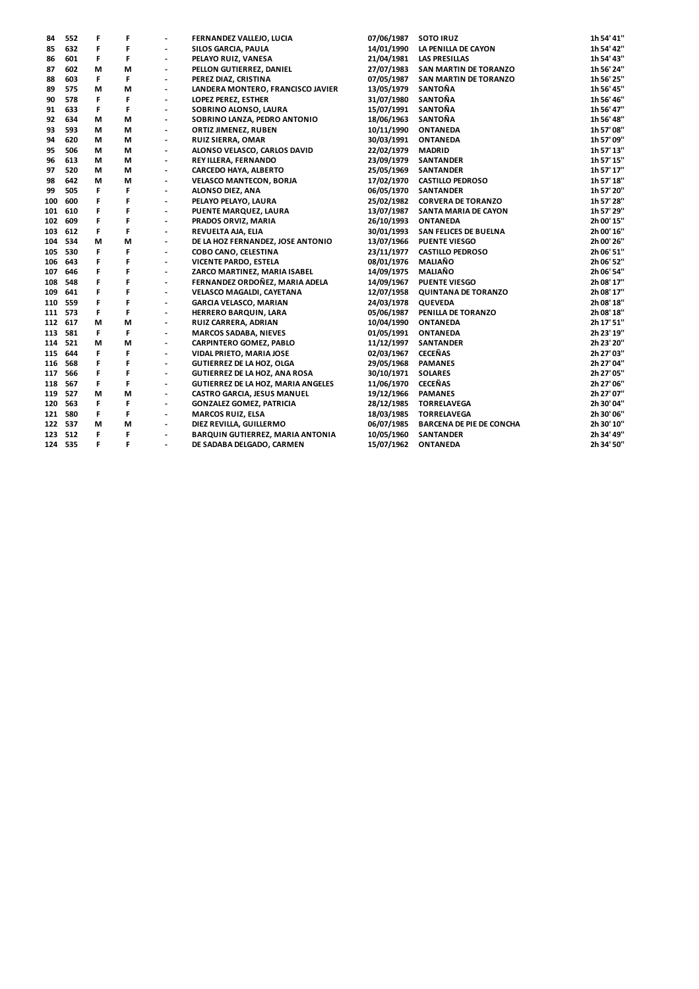| 84      | 552     | F  | F | $\overline{\phantom{a}}$ | FERNANDEZ VALLEJO, LUCIA             | 07/06/1987 | <b>SOTO IRUZ</b>                | 1h 54' 41" |
|---------|---------|----|---|--------------------------|--------------------------------------|------------|---------------------------------|------------|
| 85      | 632     | F  | F | $\overline{\phantom{a}}$ | SILOS GARCIA, PAULA                  | 14/01/1990 | LA PENILLA DE CAYON             | 1h 54' 42" |
| 86      | 601     | F  | F | $\overline{\phantom{a}}$ | PELAYO RUIZ, VANESA                  | 21/04/1981 | <b>LAS PRESILLAS</b>            | 1h 54' 43" |
| 87      | 602     | М  | M | $\overline{\phantom{a}}$ | PELLON GUTIERREZ, DANIEL             | 27/07/1983 | SAN MARTIN DE TORANZO           | 1h 56' 24" |
| 88      | 603     | F  | F | $\overline{\phantom{a}}$ | PEREZ DIAZ, CRISTINA                 | 07/05/1987 | SAN MARTIN DE TORANZO           | 1h 56' 25" |
| 89      | 575     | М  | М | $\overline{\phantom{a}}$ | LANDERA MONTERO, FRANCISCO JAVIER    | 13/05/1979 | SANTOÑA                         | 1h 56' 45" |
| 90      | 578     | F  | F | $\overline{\phantom{a}}$ | LOPEZ PEREZ, ESTHER                  | 31/07/1980 | SANTOÑA                         | 1h 56' 46" |
| 91      | 633     | F  | F | $\overline{\phantom{a}}$ | SOBRINO ALONSO, LAURA                | 15/07/1991 | <b>SANTOÑA</b>                  | 1h 56' 47" |
| 92      | 634     | М  | M | $\overline{\phantom{a}}$ | SOBRINO LANZA, PEDRO ANTONIO         | 18/06/1963 | SANTOÑA                         | 1h 56' 48" |
| 93      | 593     | М  | М | $\overline{\phantom{a}}$ | ORTIZ JIMENEZ, RUBEN                 | 10/11/1990 | ONTANEDA                        | 1h 57' 08" |
| 94      | 620     | М  | М | $\overline{\phantom{a}}$ | <b>RUIZ SIERRA, OMAR</b>             | 30/03/1991 | <b>ONTANEDA</b>                 | 1h 57' 09" |
| 95      | 506     | М  | М | $\overline{\phantom{a}}$ | ALONSO VELASCO, CARLOS DAVID         | 22/02/1979 | <b>MADRID</b>                   | 1h 57' 13" |
| 96      | 613     | М  | М | $\overline{\phantom{a}}$ | REY ILLERA, FERNANDO                 | 23/09/1979 | <b>SANTANDER</b>                | 1h 57' 15" |
| 97      | 520     | М  | М | $\overline{\phantom{a}}$ | <b>CARCEDO HAYA, ALBERTO</b>         | 25/05/1969 | SANTANDER                       | 1h 57' 17" |
| 98      | 642     | М  | М | $\overline{\phantom{a}}$ | <b>VELASCO MANTECON, BORJA</b>       | 17/02/1970 | <b>CASTILLO PEDROSO</b>         | 1h 57' 18" |
| 99      | 505     | F  | F | $\overline{\phantom{a}}$ | ALONSO DIEZ, ANA                     | 06/05/1970 | <b>SANTANDER</b>                | 1h 57' 20" |
| 100     | 600     | F  | F | $\overline{\phantom{a}}$ | PELAYO PELAYO, LAURA                 | 25/02/1982 | <b>CORVERA DE TORANZO</b>       | 1h 57' 28" |
| 101     | 610     | F  | F | $\overline{\phantom{a}}$ | PUENTE MARQUEZ, LAURA                | 13/07/1987 | SANTA MARIA DE CAYON            | 1h 57' 29" |
| 102     | 609     | F  | F | $\overline{\phantom{a}}$ | PRADOS ORVIZ, MARIA                  | 26/10/1993 | <b>ONTANEDA</b>                 | 2h 00' 15" |
| 103     | 612     | F  | F | $\overline{\phantom{a}}$ | REVUELTA AJA, ELIA                   | 30/01/1993 | SAN FELICES DE BUELNA           | 2h 00' 16" |
| 104     | 534     | М  | M | $\overline{\phantom{a}}$ | DE LA HOZ FERNANDEZ, JOSE ANTONIO    | 13/07/1966 | <b>PUENTE VIESGO</b>            | 2h 00' 26" |
| 105     | 530     | F  | F | $\overline{\phantom{a}}$ | COBO CANO, CELESTINA                 | 23/11/1977 | <b>CASTILLO PEDROSO</b>         | 2h 06' 51" |
| 106     | 643     | F  | F | $\overline{\phantom{a}}$ | VICENTE PARDO, ESTELA                | 08/01/1976 | <b>MALIAÑO</b>                  | 2h 06' 52" |
| 107     | 646     | F  | F | $\overline{\phantom{a}}$ | ZARCO MARTINEZ, MARIA ISABEL         | 14/09/1975 | <b>MALIAÑO</b>                  | 2h 06' 54" |
| 108     | 548     | F  | F | $\overline{\phantom{a}}$ | FERNANDEZ ORDOÑEZ, MARIA ADELA       | 14/09/1967 | <b>PUENTE VIESGO</b>            | 2h 08' 17" |
| 109     | 641     | F  | F | $\overline{\phantom{a}}$ | VELASCO MAGALDI, CAYETANA            | 12/07/1958 | <b>QUINTANA DE TORANZO</b>      | 2h 08' 17" |
| 110     | 559     | F  | F | $\overline{\phantom{a}}$ | <b>GARCIA VELASCO, MARIAN</b>        | 24/03/1978 | <b>QUEVEDA</b>                  | 2h 08' 18" |
| 111     | 573     | F. | F | $\overline{\phantom{a}}$ | <b>HERRERO BARQUIN, LARA</b>         | 05/06/1987 | PENILLA DE TORANZO              | 2h 08' 18" |
| 112 617 |         | М  | M | $\overline{\phantom{a}}$ | RUIZ CARRERA, ADRIAN                 | 10/04/1990 | ONTANEDA                        | 2h 17' 51" |
| 113     | 581     | F  | F | $\overline{\phantom{a}}$ | <b>MARCOS SADABA, NIEVES</b>         | 01/05/1991 | ONTANEDA                        | 2h 23' 19" |
| 114 521 |         | М  | М | $\overline{\phantom{a}}$ | <b>CARPINTERO GOMEZ, PABLO</b>       | 11/12/1997 | <b>SANTANDER</b>                | 2h 23' 20" |
|         | 115 644 | F  | F | $\overline{\phantom{a}}$ | VIDAL PRIETO, MARIA JOSE             | 02/03/1967 | <b>CECEÑAS</b>                  | 2h 27' 03" |
| 116     | 568     | F  | F | $\overline{\phantom{a}}$ | <b>GUTIERREZ DE LA HOZ, OLGA</b>     | 29/05/1968 | <b>PAMANES</b>                  | 2h 27' 04" |
| 117     | 566     | F  | F | $\overline{\phantom{a}}$ | <b>GUTIERREZ DE LA HOZ, ANA ROSA</b> | 30/10/1971 | <b>SOLARES</b>                  | 2h 27' 05" |
| 118     | 567     | F  | F | $\overline{\phantom{a}}$ | GUTIERREZ DE LA HOZ, MARIA ANGELES   | 11/06/1970 | <b>CECEÑAS</b>                  | 2h 27' 06" |
| 119 527 |         | М  | М | $\overline{\phantom{a}}$ | <b>CASTRO GARCIA, JESUS MANUEL</b>   | 19/12/1966 | <b>PAMANES</b>                  | 2h 27' 07" |
| 120     | 563     | F  | F | $\overline{\phantom{a}}$ | <b>GONZALEZ GOMEZ, PATRICIA</b>      | 28/12/1985 | <b>TORRELAVEGA</b>              | 2h 30' 04" |
| 121     | 580     | F  | F | $\overline{\phantom{a}}$ | <b>MARCOS RUIZ, ELSA</b>             | 18/03/1985 | <b>TORRELAVEGA</b>              | 2h 30' 06" |
| 122 537 |         | М  | М | $\overline{\phantom{a}}$ | DIEZ REVILLA, GUILLERMO              | 06/07/1985 | <b>BARCENA DE PIE DE CONCHA</b> | 2h 30' 10" |
| 123     | 512     | F  | F | $\overline{\phantom{a}}$ | BARQUIN GUTIERREZ, MARIA ANTONIA     | 10/05/1960 | <b>SANTANDER</b>                | 2h 34' 49" |
| 124 535 |         | F  | F | $\overline{\phantom{a}}$ | DE SADABA DELGADO, CARMEN            | 15/07/1962 | ONTANEDA                        | 2h 34' 50" |
|         |         |    |   |                          |                                      |            |                                 |            |